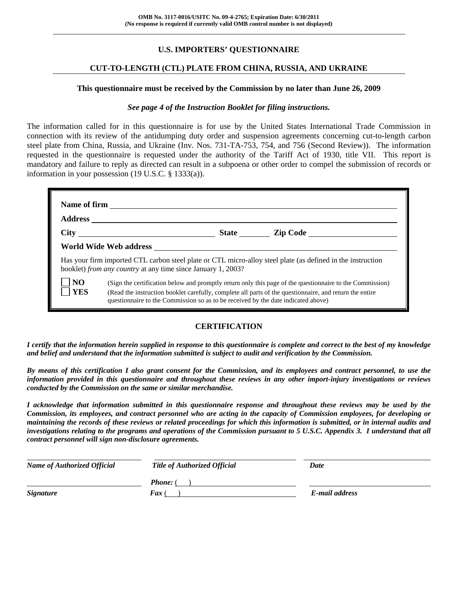# **U.S. IMPORTERS' QUESTIONNAIRE**

# **CUT-TO-LENGTH (CTL) PLATE FROM CHINA, RUSSIA, AND UKRAINE**

#### **This questionnaire must be received by the Commission by no later than June 26, 2009**

#### *See page 4 of the Instruction Booklet for filing instructions.*

The information called for in this questionnaire is for use by the United States International Trade Commission in connection with its review of the antidumping duty order and suspension agreements concerning cut-to-length carbon steel plate from China, Russia, and Ukraine (Inv. Nos. 731-TA-753, 754, and 756 (Second Review)). The information requested in the questionnaire is requested under the authority of the Tariff Act of 1930, title VII. This report is mandatory and failure to reply as directed can result in a subpoena or other order to compel the submission of records or information in your possession (19 U.S.C. § 1333(a)).

|                               | booklet) from any country at any time since January 1, 2003?                      | Has your firm imported CTL carbon steel plate or CTL micro-alloy steel plate (as defined in the instruction                                                                                                         |
|-------------------------------|-----------------------------------------------------------------------------------|---------------------------------------------------------------------------------------------------------------------------------------------------------------------------------------------------------------------|
| NO <sub>1</sub><br><b>YES</b> | questionnaire to the Commission so as to be received by the date indicated above) | (Sign the certification below and promptly return only this page of the questionnaire to the Commission)<br>(Read the instruction booklet carefully, complete all parts of the questionnaire, and return the entire |

#### **CERTIFICATION**

*I certify that the information herein supplied in response to this questionnaire is complete and correct to the best of my knowledge and belief and understand that the information submitted is subject to audit and verification by the Commission.* 

*By means of this certification I also grant consent for the Commission, and its employees and contract personnel, to use the information provided in this questionnaire and throughout these reviews in any other import-injury investigations or reviews conducted by the Commission on the same or similar merchandise.* 

*I acknowledge that information submitted in this questionnaire response and throughout these reviews may be used by the Commission, its employees, and contract personnel who are acting in the capacity of Commission employees, for developing or maintaining the records of these reviews or related proceedings for which this information is submitted, or in internal audits and investigations relating to the programs and operations of the Commission pursuant to 5 U.S.C. Appendix 3. I understand that all contract personnel will sign non-disclosure agreements.* 

| <b>Name of Authorized Official</b> | Title of Authorized Official | Date           |  |
|------------------------------------|------------------------------|----------------|--|
|                                    | <b>Phone:</b> (              |                |  |
| <b>Signature</b>                   | <b>Fax</b> (                 | E-mail address |  |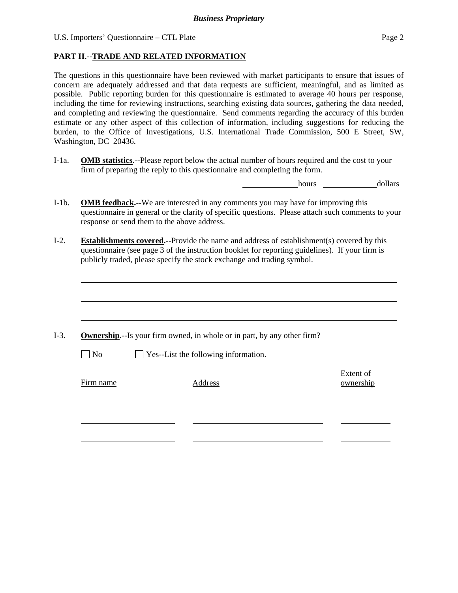U.S. Importers' Questionnaire – CTL Plate Page 2

 $\overline{a}$ 

#### **PART II.--TRADE AND RELATED INFORMATION**

The questions in this questionnaire have been reviewed with market participants to ensure that issues of concern are adequately addressed and that data requests are sufficient, meaningful, and as limited as possible. Public reporting burden for this questionnaire is estimated to average 40 hours per response, including the time for reviewing instructions, searching existing data sources, gathering the data needed, and completing and reviewing the questionnaire. Send comments regarding the accuracy of this burden estimate or any other aspect of this collection of information, including suggestions for reducing the burden, to the Office of Investigations, U.S. International Trade Commission, 500 E Street, SW, Washington, DC 20436.

I-1a. **OMB statistics.--**Please report below the actual number of hours required and the cost to your firm of preparing the reply to this questionnaire and completing the form.

hours dollars

- I-1b. **OMB feedback.--**We are interested in any comments you may have for improving this questionnaire in general or the clarity of specific questions. Please attach such comments to your response or send them to the above address.
- I-2. **Establishments covered.--**Provide the name and address of establishment(s) covered by this questionnaire (see page 3 of the instruction booklet for reporting guidelines). If your firm is publicly traded, please specify the stock exchange and trading symbol.

| $\Box$ No | $\Box$ Yes--List the following information. |                        |
|-----------|---------------------------------------------|------------------------|
|           |                                             |                        |
| Firm name | Address                                     | Extent of<br>ownership |
|           |                                             |                        |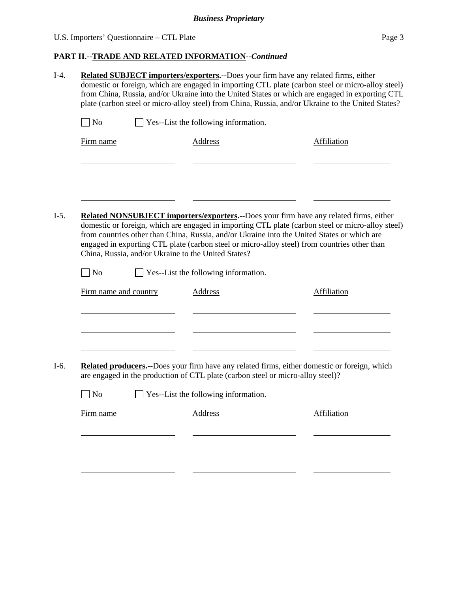# U.S. Importers' Questionnaire – CTL Plate Page 3

| N <sub>o</sub>        | $\Box$ Yes--List the following information.                                     |                                                                                                                                                                                                                                                                                                  |
|-----------------------|---------------------------------------------------------------------------------|--------------------------------------------------------------------------------------------------------------------------------------------------------------------------------------------------------------------------------------------------------------------------------------------------|
| Firm name             | <b>Address</b>                                                                  | Affiliation                                                                                                                                                                                                                                                                                      |
|                       |                                                                                 |                                                                                                                                                                                                                                                                                                  |
|                       |                                                                                 |                                                                                                                                                                                                                                                                                                  |
|                       |                                                                                 | Related NONSUBJECT importers/exporters.--Does your firm have any related firms, either                                                                                                                                                                                                           |
|                       | China, Russia, and/or Ukraine to the United States?                             | domestic or foreign, which are engaged in importing CTL plate (carbon steel or micro-alloy steel)<br>from countries other than China, Russia, and/or Ukraine into the United States or which are<br>engaged in exporting CTL plate (carbon steel or micro-alloy steel) from countries other than |
| N <sub>o</sub>        | $\Box$ Yes--List the following information.                                     |                                                                                                                                                                                                                                                                                                  |
| Firm name and country | Address                                                                         | Affiliation                                                                                                                                                                                                                                                                                      |
|                       |                                                                                 |                                                                                                                                                                                                                                                                                                  |
|                       |                                                                                 |                                                                                                                                                                                                                                                                                                  |
|                       | are engaged in the production of CTL plate (carbon steel or micro-alloy steel)? | Related producers.--Does your firm have any related firms, either domestic or foreign, which                                                                                                                                                                                                     |
| N <sub>o</sub>        | Yes--List the following information.                                            |                                                                                                                                                                                                                                                                                                  |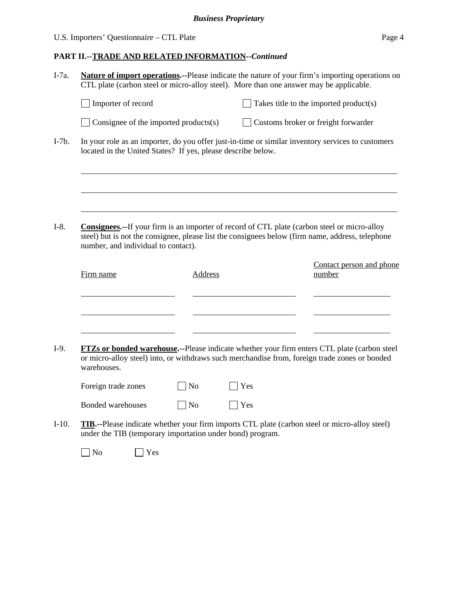|                                                              |                |            | Nature of import operations.--Please indicate the nature of your firm's importing operations on<br>CTL plate (carbon steel or micro-alloy steel). More than one answer may be applicable.                |
|--------------------------------------------------------------|----------------|------------|----------------------------------------------------------------------------------------------------------------------------------------------------------------------------------------------------------|
| Importer of record                                           |                |            | Takes title to the imported product(s)                                                                                                                                                                   |
| Consignee of the imported products(s)                        |                |            | Customs broker or freight forwarder                                                                                                                                                                      |
| located in the United States? If yes, please describe below. |                |            | In your role as an importer, do you offer just-in-time or similar inventory services to customers                                                                                                        |
| number, and individual to contact).                          |                |            | <b>Consignees.</b> --If your firm is an importer of record of CTL plate (carbon steel or micro-alloy<br>steel) but is not the consignee, please list the consignees below (firm name, address, telephone |
| Firm name                                                    | <b>Address</b> |            | Contact person and phone<br>number                                                                                                                                                                       |
| warehouses.                                                  |                |            | <b>FTZs or bonded warehouse.--Please indicate whether your firm enters CTL plate (carbon steel)</b><br>or micro-alloy steel) into, or withdraws such merchandise from, foreign trade zones or bonded     |
| Foreign trade zones                                          | N <sub>0</sub> | <b>Yes</b> |                                                                                                                                                                                                          |
| <b>Bonded warehouses</b>                                     | <b>No</b>      | Yes        |                                                                                                                                                                                                          |
| under the TIB (temporary importation under bond) program.    |                |            | <b>TIB.</b> --Please indicate whether your firm imports CTL plate (carbon steel or micro-alloy steel)                                                                                                    |
| N <sub>o</sub><br>Yes                                        |                |            |                                                                                                                                                                                                          |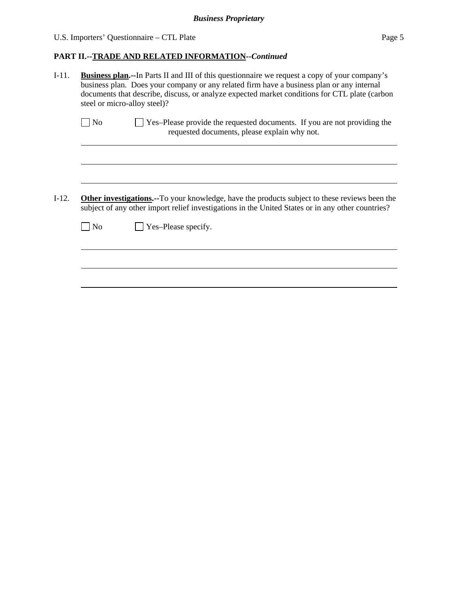U.S. Importers' Questionnaire – CTL Plate Page 5

| $I-11.$ | <b>Business plan.--In Parts II and III of this questionnaire we request a copy of your company's</b><br>business plan. Does your company or any related firm have a business plan or any internal<br>documents that describe, discuss, or analyze expected market conditions for CTL plate (carbon<br>steel or micro-alloy steel)? |  |  |  |  |  |
|---------|------------------------------------------------------------------------------------------------------------------------------------------------------------------------------------------------------------------------------------------------------------------------------------------------------------------------------------|--|--|--|--|--|
|         | Yes-Please provide the requested documents. If you are not providing the<br>No<br>requested documents, please explain why not.                                                                                                                                                                                                     |  |  |  |  |  |
|         |                                                                                                                                                                                                                                                                                                                                    |  |  |  |  |  |
| $I-12.$ | <b>Other investigations.</b> --To your knowledge, have the products subject to these reviews been the<br>subject of any other import relief investigations in the United States or in any other countries?                                                                                                                         |  |  |  |  |  |
|         | Yes-Please specify.<br>N <sub>o</sub>                                                                                                                                                                                                                                                                                              |  |  |  |  |  |
|         |                                                                                                                                                                                                                                                                                                                                    |  |  |  |  |  |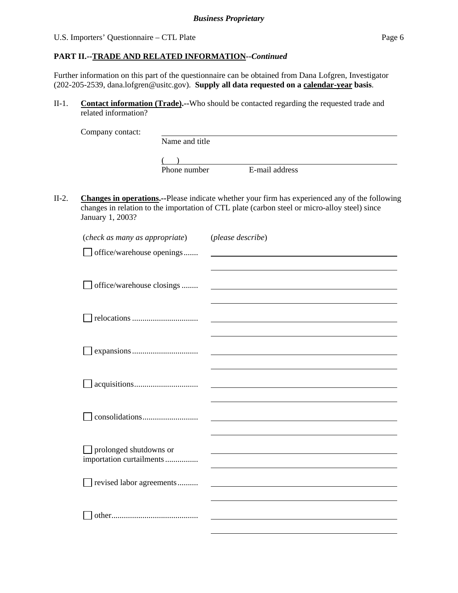# **PART II.--TRADE AND RELATED INFORMATION***--Continued*

Further information on this part of the questionnaire can be obtained from Dana Lofgren, Investigator (202-205-2539, dana.lofgren@usitc.gov). **Supply all data requested on a calendar-year basis**.

II-1. **Contact information (Trade).--**Who should be contacted regarding the requested trade and related information?

| Company contact: |                |                |
|------------------|----------------|----------------|
|                  | Name and title |                |
|                  |                |                |
|                  | Phone number   | E-mail address |

II-2. **Changes in operations.--**Please indicate whether your firm has experienced any of the following changes in relation to the importation of CTL plate (carbon steel or micro-alloy steel) since January 1, 2003?

| (check as many as appropriate) | (please describe) |
|--------------------------------|-------------------|
| office/warehouse openings      |                   |
|                                |                   |
|                                |                   |
| office/warehouse closings      |                   |
|                                |                   |
|                                |                   |
|                                |                   |
|                                |                   |
|                                |                   |
|                                |                   |
|                                |                   |
|                                |                   |
|                                |                   |
|                                |                   |
|                                |                   |
| $\Box$ prolonged shutdowns or  |                   |
| importation curtailments       |                   |
|                                |                   |
| revised labor agreements       |                   |
|                                |                   |
|                                |                   |
|                                |                   |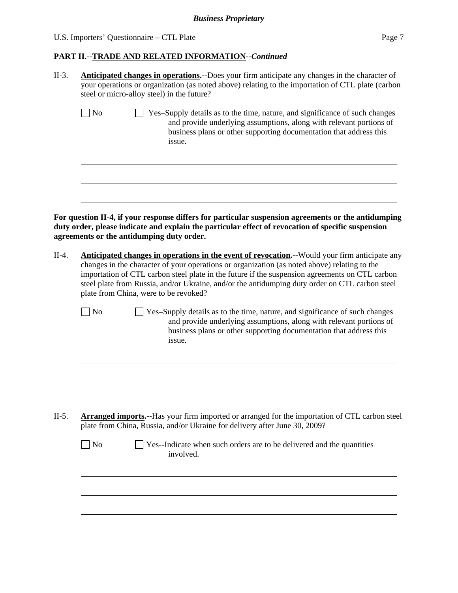| II-3.   | <b>Anticipated changes in operations.</b> --Does your firm anticipate any changes in the character of<br>your operations or organization (as noted above) relating to the importation of CTL plate (carbon<br>steel or micro-alloy steel) in the future? |                                                                                                                                                                                                                                                                                                                                                                                                   |  |  |  |  |  |
|---------|----------------------------------------------------------------------------------------------------------------------------------------------------------------------------------------------------------------------------------------------------------|---------------------------------------------------------------------------------------------------------------------------------------------------------------------------------------------------------------------------------------------------------------------------------------------------------------------------------------------------------------------------------------------------|--|--|--|--|--|
|         | $\log$                                                                                                                                                                                                                                                   | Yes-Supply details as to the time, nature, and significance of such changes<br>and provide underlying assumptions, along with relevant portions of<br>business plans or other supporting documentation that address this<br>issue.                                                                                                                                                                |  |  |  |  |  |
|         |                                                                                                                                                                                                                                                          |                                                                                                                                                                                                                                                                                                                                                                                                   |  |  |  |  |  |
|         | agreements or the antidumping duty order.                                                                                                                                                                                                                | For question II-4, if your response differs for particular suspension agreements or the antidumping<br>duty order, please indicate and explain the particular effect of revocation of specific suspension                                                                                                                                                                                         |  |  |  |  |  |
| $II-4.$ | plate from China, were to be revoked?                                                                                                                                                                                                                    | Anticipated changes in operations in the event of revocation.--Would your firm anticipate any<br>changes in the character of your operations or organization (as noted above) relating to the<br>importation of CTL carbon steel plate in the future if the suspension agreements on CTL carbon<br>steel plate from Russia, and/or Ukraine, and/or the antidumping duty order on CTL carbon steel |  |  |  |  |  |
|         | No                                                                                                                                                                                                                                                       | Yes-Supply details as to the time, nature, and significance of such changes<br>and provide underlying assumptions, along with relevant portions of<br>business plans or other supporting documentation that address this<br>issue.                                                                                                                                                                |  |  |  |  |  |
|         |                                                                                                                                                                                                                                                          |                                                                                                                                                                                                                                                                                                                                                                                                   |  |  |  |  |  |
| $II-5.$ |                                                                                                                                                                                                                                                          | <b>Arranged imports.</b> --Has your firm imported or arranged for the importation of CTL carbon steel<br>plate from China, Russia, and/or Ukraine for delivery after June 30, 2009?                                                                                                                                                                                                               |  |  |  |  |  |
|         | $\Box$ No                                                                                                                                                                                                                                                | Yes--Indicate when such orders are to be delivered and the quantities<br>involved.                                                                                                                                                                                                                                                                                                                |  |  |  |  |  |
|         |                                                                                                                                                                                                                                                          |                                                                                                                                                                                                                                                                                                                                                                                                   |  |  |  |  |  |
|         |                                                                                                                                                                                                                                                          |                                                                                                                                                                                                                                                                                                                                                                                                   |  |  |  |  |  |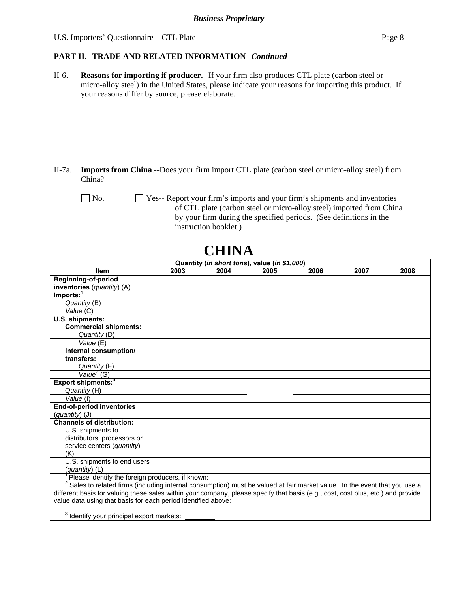#### **PART II.--TRADE AND RELATED INFORMATION***--Continued*

| II-6.<br>Reasons for importing if producer.--If your firm also produces CTL plate (carbon steel or |                                                                                                                                       |      |                                              |      |                                                                            |      |      |  |  |  |
|----------------------------------------------------------------------------------------------------|---------------------------------------------------------------------------------------------------------------------------------------|------|----------------------------------------------|------|----------------------------------------------------------------------------|------|------|--|--|--|
|                                                                                                    | micro-alloy steel) in the United States, please indicate your reasons for importing this product. If                                  |      |                                              |      |                                                                            |      |      |  |  |  |
|                                                                                                    | your reasons differ by source, please elaborate.                                                                                      |      |                                              |      |                                                                            |      |      |  |  |  |
|                                                                                                    |                                                                                                                                       |      |                                              |      |                                                                            |      |      |  |  |  |
|                                                                                                    |                                                                                                                                       |      |                                              |      |                                                                            |      |      |  |  |  |
|                                                                                                    |                                                                                                                                       |      |                                              |      |                                                                            |      |      |  |  |  |
|                                                                                                    |                                                                                                                                       |      |                                              |      |                                                                            |      |      |  |  |  |
|                                                                                                    |                                                                                                                                       |      |                                              |      |                                                                            |      |      |  |  |  |
|                                                                                                    |                                                                                                                                       |      |                                              |      |                                                                            |      |      |  |  |  |
|                                                                                                    |                                                                                                                                       |      |                                              |      |                                                                            |      |      |  |  |  |
|                                                                                                    |                                                                                                                                       |      |                                              |      |                                                                            |      |      |  |  |  |
| II-7a.                                                                                             | <b>Imports from China.</b> --Does your firm import CTL plate (carbon steel or micro-alloy steel) from<br>China?                       |      |                                              |      |                                                                            |      |      |  |  |  |
|                                                                                                    |                                                                                                                                       |      |                                              |      |                                                                            |      |      |  |  |  |
|                                                                                                    | No.                                                                                                                                   |      |                                              |      | Yes-- Report your firm's imports and your firm's shipments and inventories |      |      |  |  |  |
|                                                                                                    |                                                                                                                                       |      |                                              |      | of CTL plate (carbon steel or micro-alloy steel) imported from China       |      |      |  |  |  |
|                                                                                                    |                                                                                                                                       |      |                                              |      | by your firm during the specified periods. (See definitions in the         |      |      |  |  |  |
|                                                                                                    |                                                                                                                                       |      | instruction booklet.)                        |      |                                                                            |      |      |  |  |  |
|                                                                                                    |                                                                                                                                       |      |                                              |      |                                                                            |      |      |  |  |  |
|                                                                                                    |                                                                                                                                       |      |                                              |      |                                                                            |      |      |  |  |  |
|                                                                                                    |                                                                                                                                       |      | <b>CHINA</b>                                 |      |                                                                            |      |      |  |  |  |
|                                                                                                    |                                                                                                                                       |      | Quantity (in short tons), value (in \$1,000) |      |                                                                            |      |      |  |  |  |
|                                                                                                    | Item                                                                                                                                  | 2003 | 2004                                         | 2005 | 2006                                                                       | 2007 | 2008 |  |  |  |
|                                                                                                    | Beginning-of-period                                                                                                                   |      |                                              |      |                                                                            |      |      |  |  |  |
|                                                                                                    | inventories (quantity) (A)                                                                                                            |      |                                              |      |                                                                            |      |      |  |  |  |
| $Imports:$ <sup>1</sup>                                                                            |                                                                                                                                       |      |                                              |      |                                                                            |      |      |  |  |  |
|                                                                                                    | Quantity (B)                                                                                                                          |      |                                              |      |                                                                            |      |      |  |  |  |
|                                                                                                    | Value (C)                                                                                                                             |      |                                              |      |                                                                            |      |      |  |  |  |
|                                                                                                    | U.S. shipments:                                                                                                                       |      |                                              |      |                                                                            |      |      |  |  |  |
|                                                                                                    | <b>Commercial shipments:</b>                                                                                                          |      |                                              |      |                                                                            |      |      |  |  |  |
|                                                                                                    | Quantity (D)<br>Value $(\overline{E})$                                                                                                |      |                                              |      |                                                                            |      |      |  |  |  |
|                                                                                                    | Internal consumption/                                                                                                                 |      |                                              |      |                                                                            |      |      |  |  |  |
|                                                                                                    | transfers:                                                                                                                            |      |                                              |      |                                                                            |      |      |  |  |  |
|                                                                                                    | Quantity (F)                                                                                                                          |      |                                              |      |                                                                            |      |      |  |  |  |
|                                                                                                    | $Value2$ (G)                                                                                                                          |      |                                              |      |                                                                            |      |      |  |  |  |
|                                                                                                    | Export shipments: <sup>3</sup>                                                                                                        |      |                                              |      |                                                                            |      |      |  |  |  |
|                                                                                                    | Quantity (H)                                                                                                                          |      |                                              |      |                                                                            |      |      |  |  |  |
| Value (I)                                                                                          |                                                                                                                                       |      |                                              |      |                                                                            |      |      |  |  |  |
|                                                                                                    | <b>End-of-period inventories</b>                                                                                                      |      |                                              |      |                                                                            |      |      |  |  |  |
| $(quantity)$ (J)                                                                                   |                                                                                                                                       |      |                                              |      |                                                                            |      |      |  |  |  |
|                                                                                                    | <b>Channels of distribution:</b>                                                                                                      |      |                                              |      |                                                                            |      |      |  |  |  |
|                                                                                                    | U.S. shipments to                                                                                                                     |      |                                              |      |                                                                            |      |      |  |  |  |
|                                                                                                    | distributors, processors or                                                                                                           |      |                                              |      |                                                                            |      |      |  |  |  |
|                                                                                                    | service centers (quantity)                                                                                                            |      |                                              |      |                                                                            |      |      |  |  |  |
| (K)                                                                                                |                                                                                                                                       |      |                                              |      |                                                                            |      |      |  |  |  |
|                                                                                                    | U.S. shipments to end users<br>(quantity) (L)                                                                                         |      |                                              |      |                                                                            |      |      |  |  |  |
|                                                                                                    | Please identify the foreign producers, if known:                                                                                      |      |                                              |      |                                                                            |      |      |  |  |  |
|                                                                                                    | <sup>2</sup> Sales to related firms (including internal consumption) must be valued at fair market value. In the event that you use a |      |                                              |      |                                                                            |      |      |  |  |  |

different basis for valuing these sales within your company, please specify that basis (e.g., cost, cost plus, etc.) and provide value data using that basis for each period identified above:

<sup>3</sup> Identify your principal export markets:

 $\overline{a}$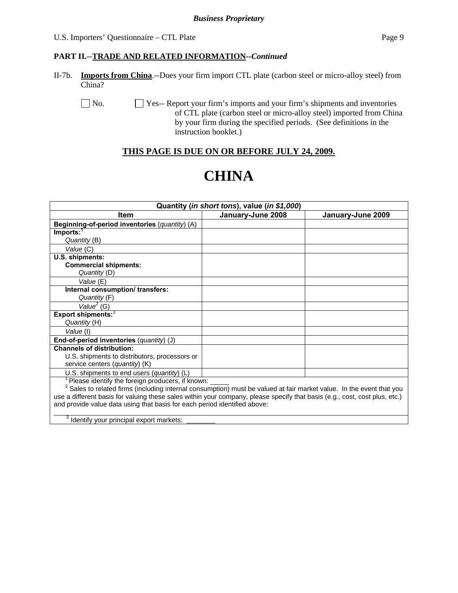### **PART II.--TRADE AND RELATED INFORMATION***--Continued*

II-7b. **Imports from China**.--Does your firm import CTL plate (carbon steel or micro-alloy steel) from China?

No.  $\Box$  Yes-- Report your firm's imports and your firm's shipments and inventories of CTL plate (carbon steel or micro-alloy steel) imported from China by your firm during the specified periods. (See definitions in the instruction booklet.)

# **THIS PAGE IS DUE ON OR BEFORE JULY 24, 2009.**

# **CHINA**

| Quantity (in short tons), value (in \$1,000)                                                                               |                   |                   |  |  |  |
|----------------------------------------------------------------------------------------------------------------------------|-------------------|-------------------|--|--|--|
| <b>Item</b>                                                                                                                | January-June 2008 | January-June 2009 |  |  |  |
| Beginning-of-period inventories (quantity) (A)                                                                             |                   |                   |  |  |  |
| Imports: <sup>1</sup>                                                                                                      |                   |                   |  |  |  |
| Quantity (B)                                                                                                               |                   |                   |  |  |  |
| Value (C)                                                                                                                  |                   |                   |  |  |  |
| U.S. shipments:                                                                                                            |                   |                   |  |  |  |
| <b>Commercial shipments:</b>                                                                                               |                   |                   |  |  |  |
| Quantity (D)                                                                                                               |                   |                   |  |  |  |
| Value (E)                                                                                                                  |                   |                   |  |  |  |
| Internal consumption/transfers:                                                                                            |                   |                   |  |  |  |
| Quantity (F)                                                                                                               |                   |                   |  |  |  |
| Value <sup>2</sup> (G)                                                                                                     |                   |                   |  |  |  |
| <b>Export shipments:</b> <sup>3</sup>                                                                                      |                   |                   |  |  |  |
| Quantity (H)                                                                                                               |                   |                   |  |  |  |
| Value (I)                                                                                                                  |                   |                   |  |  |  |
| End-of-period inventories (quantity) (J)                                                                                   |                   |                   |  |  |  |
| <b>Channels of distribution:</b>                                                                                           |                   |                   |  |  |  |
| U.S. shipments to distributors, processors or                                                                              |                   |                   |  |  |  |
| service centers (quantity) (K)                                                                                             |                   |                   |  |  |  |
| U.S. shipments to end users $(quantity)$ (L)                                                                               |                   |                   |  |  |  |
| Please identify the foreign producers, if known:                                                                           |                   |                   |  |  |  |
| Sales to related firms (including internal consumption) must be valued at fair market value. In the event that you         |                   |                   |  |  |  |
| use a different basis for valuing these sales within your company, please specify that basis (e.g., cost, cost plus, etc.) |                   |                   |  |  |  |
| and provide value data using that basis for each period identified above:                                                  |                   |                   |  |  |  |
| $3$ Identify your principal export markets:                                                                                |                   |                   |  |  |  |

3 Identify your principal export markets: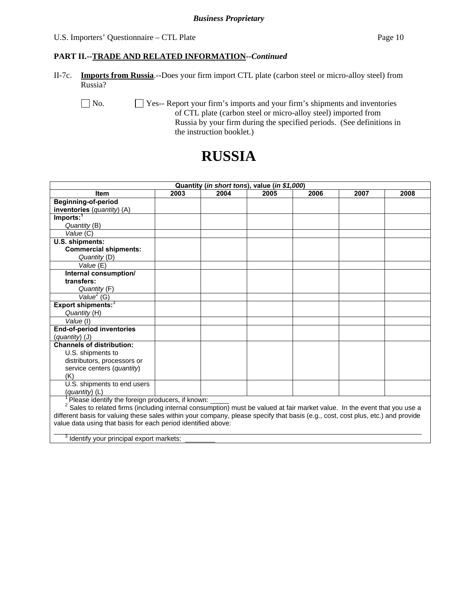### **PART II.--TRADE AND RELATED INFORMATION***--Continued*

II-7c. **Imports from Russia**.--Does your firm import CTL plate (carbon steel or micro-alloy steel) from Russia?

No.  $\Box$  Yes-- Report your firm's imports and your firm's shipments and inventories of CTL plate (carbon steel or micro-alloy steel) imported from Russia by your firm during the specified periods. (See definitions in the instruction booklet.)

# **RUSSIA**

| Quantity (in short tons), value (in \$1,000)                                                                                     |      |      |      |      |      |      |
|----------------------------------------------------------------------------------------------------------------------------------|------|------|------|------|------|------|
| <b>Item</b>                                                                                                                      | 2003 | 2004 | 2005 | 2006 | 2007 | 2008 |
| <b>Beginning-of-period</b>                                                                                                       |      |      |      |      |      |      |
| inventories (quantity) (A)                                                                                                       |      |      |      |      |      |      |
| Imports: <sup>1</sup>                                                                                                            |      |      |      |      |      |      |
| Quantity (B)                                                                                                                     |      |      |      |      |      |      |
| Value (C)                                                                                                                        |      |      |      |      |      |      |
| U.S. shipments:                                                                                                                  |      |      |      |      |      |      |
| <b>Commercial shipments:</b>                                                                                                     |      |      |      |      |      |      |
| Quantity (D)                                                                                                                     |      |      |      |      |      |      |
| Value (E)                                                                                                                        |      |      |      |      |      |      |
| Internal consumption/                                                                                                            |      |      |      |      |      |      |
| transfers:                                                                                                                       |      |      |      |      |      |      |
| Quantity (F)                                                                                                                     |      |      |      |      |      |      |
| Value <sup>2</sup> (G)                                                                                                           |      |      |      |      |      |      |
| Export shipments: <sup>3</sup>                                                                                                   |      |      |      |      |      |      |
| Quantity (H)                                                                                                                     |      |      |      |      |      |      |
| Value (I)                                                                                                                        |      |      |      |      |      |      |
| <b>End-of-period inventories</b>                                                                                                 |      |      |      |      |      |      |
| (quantity) (J)                                                                                                                   |      |      |      |      |      |      |
| <b>Channels of distribution:</b>                                                                                                 |      |      |      |      |      |      |
| U.S. shipments to                                                                                                                |      |      |      |      |      |      |
| distributors, processors or                                                                                                      |      |      |      |      |      |      |
| service centers (quantity)                                                                                                       |      |      |      |      |      |      |
| (K)                                                                                                                              |      |      |      |      |      |      |
| U.S. shipments to end users                                                                                                      |      |      |      |      |      |      |
| (quantity) (L)                                                                                                                   |      |      |      |      |      |      |
| Please identify the foreign producers, if known:                                                                                 |      |      |      |      |      |      |
| $2$ Sales to related firms (including internal consumption) must be valued at fair market value. In the event that you use a     |      |      |      |      |      |      |
| different basis for valuing these sales within your company, please specify that basis (e.g., cost, cost plus, etc.) and provide |      |      |      |      |      |      |
| value data using that basis for each period identified above:                                                                    |      |      |      |      |      |      |

<sup>3</sup> Identify your principal export markets:

 $\overline{a}$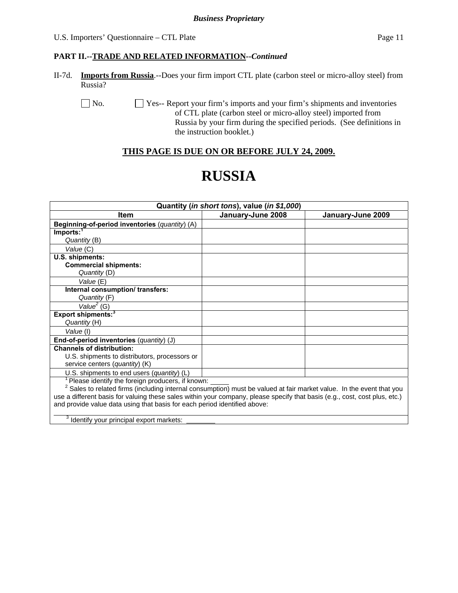#### **PART II.--TRADE AND RELATED INFORMATION***--Continued*

II-7d. **Imports from Russia**.--Does your firm import CTL plate (carbon steel or micro-alloy steel) from Russia?

No.  $\Box$  Yes-- Report your firm's imports and your firm's shipments and inventories of CTL plate (carbon steel or micro-alloy steel) imported from Russia by your firm during the specified periods. (See definitions in the instruction booklet.)

# **THIS PAGE IS DUE ON OR BEFORE JULY 24, 2009.**

# **RUSSIA**

| Quantity (in short tons), value (in \$1,000)                                                                               |                   |                   |  |  |  |  |
|----------------------------------------------------------------------------------------------------------------------------|-------------------|-------------------|--|--|--|--|
| Item                                                                                                                       | January-June 2008 | January-June 2009 |  |  |  |  |
| Beginning-of-period inventories (quantity) (A)                                                                             |                   |                   |  |  |  |  |
| Imports: <sup>1</sup>                                                                                                      |                   |                   |  |  |  |  |
| Quantity (B)                                                                                                               |                   |                   |  |  |  |  |
| Value (C)                                                                                                                  |                   |                   |  |  |  |  |
| U.S. shipments:                                                                                                            |                   |                   |  |  |  |  |
| <b>Commercial shipments:</b>                                                                                               |                   |                   |  |  |  |  |
| Quantity (D)                                                                                                               |                   |                   |  |  |  |  |
| Value (E)                                                                                                                  |                   |                   |  |  |  |  |
| Internal consumption/transfers:                                                                                            |                   |                   |  |  |  |  |
| Quantity (F)                                                                                                               |                   |                   |  |  |  |  |
| Value <sup>2</sup> (G)                                                                                                     |                   |                   |  |  |  |  |
| Export shipments: <sup>3</sup>                                                                                             |                   |                   |  |  |  |  |
| Quantity (H)                                                                                                               |                   |                   |  |  |  |  |
| Value (I)                                                                                                                  |                   |                   |  |  |  |  |
| End-of-period inventories (quantity) (J)                                                                                   |                   |                   |  |  |  |  |
| <b>Channels of distribution:</b>                                                                                           |                   |                   |  |  |  |  |
| U.S. shipments to distributors, processors or                                                                              |                   |                   |  |  |  |  |
| service centers (quantity) (K)                                                                                             |                   |                   |  |  |  |  |
| U.S. shipments to end users (quantity) (L)                                                                                 |                   |                   |  |  |  |  |
| Please identify the foreign producers, if known:                                                                           |                   |                   |  |  |  |  |
| Sales to related firms (including internal consumption) must be valued at fair market value. In the event that you         |                   |                   |  |  |  |  |
| use a different basis for valuing these sales within your company, please specify that basis (e.g., cost, cost plus, etc.) |                   |                   |  |  |  |  |
| and provide value data using that basis for each period identified above:                                                  |                   |                   |  |  |  |  |
| $\frac{3}{3}$ Identify your principal export markets:                                                                      |                   |                   |  |  |  |  |

3 Identify your principal export markets: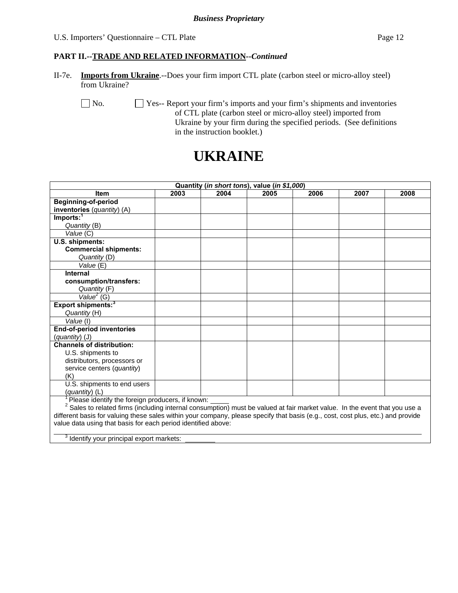#### U.S. Importers' Questionnaire – CTL Plate Page 12

#### **PART II.--TRADE AND RELATED INFORMATION***--Continued*

II-7e. **Imports from Ukraine**.--Does your firm import CTL plate (carbon steel or micro-alloy steel) from Ukraine?

No.  $\Box$  Yes-- Report your firm's imports and your firm's shipments and inventories of CTL plate (carbon steel or micro-alloy steel) imported from Ukraine by your firm during the specified periods. (See definitions in the instruction booklet.)

# **UKRAINE**

| Quantity (in short tons), value (in \$1,000)                                                                                          |      |      |      |      |      |      |
|---------------------------------------------------------------------------------------------------------------------------------------|------|------|------|------|------|------|
| Item                                                                                                                                  | 2003 | 2004 | 2005 | 2006 | 2007 | 2008 |
| Beginning-of-period                                                                                                                   |      |      |      |      |      |      |
| inventories (quantity) (A)                                                                                                            |      |      |      |      |      |      |
| Imports: <sup>1</sup>                                                                                                                 |      |      |      |      |      |      |
| Quantity (B)                                                                                                                          |      |      |      |      |      |      |
| Value (C)                                                                                                                             |      |      |      |      |      |      |
| U.S. shipments:                                                                                                                       |      |      |      |      |      |      |
| <b>Commercial shipments:</b>                                                                                                          |      |      |      |      |      |      |
| Quantity (D)                                                                                                                          |      |      |      |      |      |      |
| Value (E)                                                                                                                             |      |      |      |      |      |      |
| Internal                                                                                                                              |      |      |      |      |      |      |
| consumption/transfers:                                                                                                                |      |      |      |      |      |      |
| Quantity (F)                                                                                                                          |      |      |      |      |      |      |
| Value <sup>2</sup> (G)                                                                                                                |      |      |      |      |      |      |
| Export shipments: <sup>3</sup>                                                                                                        |      |      |      |      |      |      |
| Quantity (H)                                                                                                                          |      |      |      |      |      |      |
| Value (I)                                                                                                                             |      |      |      |      |      |      |
| End-of-period inventories                                                                                                             |      |      |      |      |      |      |
| (quantity) (J)                                                                                                                        |      |      |      |      |      |      |
| <b>Channels of distribution:</b>                                                                                                      |      |      |      |      |      |      |
| U.S. shipments to                                                                                                                     |      |      |      |      |      |      |
| distributors, processors or                                                                                                           |      |      |      |      |      |      |
| service centers (quantity)                                                                                                            |      |      |      |      |      |      |
| (K)                                                                                                                                   |      |      |      |      |      |      |
| U.S. shipments to end users                                                                                                           |      |      |      |      |      |      |
| (quantity) (L)                                                                                                                        |      |      |      |      |      |      |
| Please identify the foreign producers, if known:                                                                                      |      |      |      |      |      |      |
| <sup>2</sup> Sales to related firms (including internal consumption) must be valued at fair market value. In the event that you use a |      |      |      |      |      |      |
| different basis for valuing these sales within your company, please specify that basis (e.g., cost, cost plus, etc.) and provide      |      |      |      |      |      |      |

value data using that basis for each period identified above:

<sup>3</sup> Identify your principal export markets:

 $\overline{a}$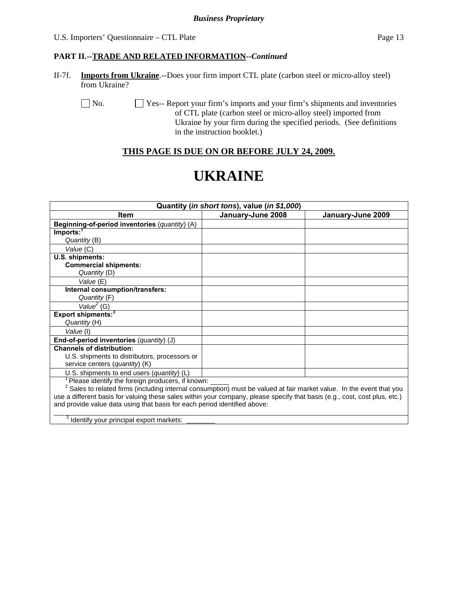# **PART II.--TRADE AND RELATED INFORMATION***--Continued*

II-7f. **Imports from Ukraine**.--Does your firm import CTL plate (carbon steel or micro-alloy steel) from Ukraine?

No.  $\Box$  Yes-- Report your firm's imports and your firm's shipments and inventories of CTL plate (carbon steel or micro-alloy steel) imported from Ukraine by your firm during the specified periods. (See definitions in the instruction booklet.)

# **THIS PAGE IS DUE ON OR BEFORE JULY 24, 2009.**

# **UKRAINE**

| Quantity (in short tons), value (in \$1,000)                                                                                    |                   |                   |  |  |  |
|---------------------------------------------------------------------------------------------------------------------------------|-------------------|-------------------|--|--|--|
| Item                                                                                                                            | January-June 2008 | January-June 2009 |  |  |  |
| Beginning-of-period inventories (quantity) (A)                                                                                  |                   |                   |  |  |  |
| Imports: <sup>7</sup>                                                                                                           |                   |                   |  |  |  |
| Quantity (B)                                                                                                                    |                   |                   |  |  |  |
| Value (C)                                                                                                                       |                   |                   |  |  |  |
| U.S. shipments:                                                                                                                 |                   |                   |  |  |  |
| <b>Commercial shipments:</b>                                                                                                    |                   |                   |  |  |  |
| Quantity (D)                                                                                                                    |                   |                   |  |  |  |
| Value (E)                                                                                                                       |                   |                   |  |  |  |
| Internal consumption/transfers:                                                                                                 |                   |                   |  |  |  |
| Quantity (F)                                                                                                                    |                   |                   |  |  |  |
| Value <sup>2</sup> (G)                                                                                                          |                   |                   |  |  |  |
| Export shipments: <sup>3</sup>                                                                                                  |                   |                   |  |  |  |
| Quantity (H)                                                                                                                    |                   |                   |  |  |  |
| Value (I)                                                                                                                       |                   |                   |  |  |  |
| End-of-period inventories (quantity) (J)                                                                                        |                   |                   |  |  |  |
| <b>Channels of distribution:</b>                                                                                                |                   |                   |  |  |  |
| U.S. shipments to distributors, processors or                                                                                   |                   |                   |  |  |  |
| service centers (quantity) (K)                                                                                                  |                   |                   |  |  |  |
| U.S. shipments to end users (quantity) (L)                                                                                      |                   |                   |  |  |  |
| Please identify the foreign producers, if known:                                                                                |                   |                   |  |  |  |
| <sup>2</sup> Sales to related firms (including internal consumption) must be valued at fair market value. In the event that you |                   |                   |  |  |  |
| use a different basis for valuing these sales within your company, please specify that basis (e.g., cost, cost plus, etc.)      |                   |                   |  |  |  |
| and provide value data using that basis for each period identified above:                                                       |                   |                   |  |  |  |
| Identify your principal export markets:                                                                                         |                   |                   |  |  |  |

identify your principal export markets: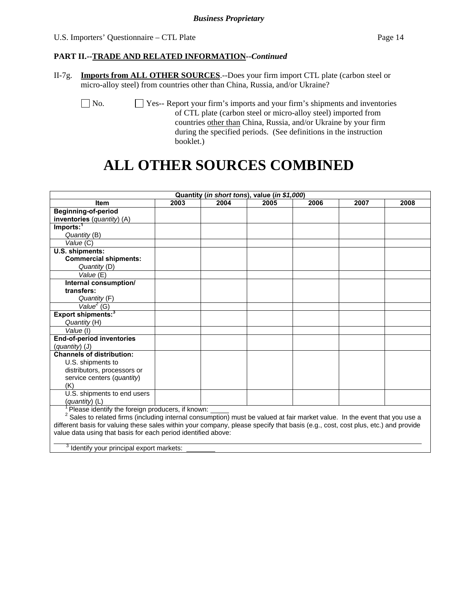### **PART II.--TRADE AND RELATED INFORMATION***--Continued*

II-7g. **Imports from ALL OTHER SOURCES**.--Does your firm import CTL plate (carbon steel or micro-alloy steel) from countries other than China, Russia, and/or Ukraine?

 No. Yes-- Report your firm's imports and your firm's shipments and inventories of CTL plate (carbon steel or micro-alloy steel) imported from countries other than China, Russia, and/or Ukraine by your firm during the specified periods. (See definitions in the instruction booklet.)

# **ALL OTHER SOURCES COMBINED**

| Quantity (in short tons), value (in \$1,000)                                                                                          |      |      |      |      |      |      |
|---------------------------------------------------------------------------------------------------------------------------------------|------|------|------|------|------|------|
| <b>Item</b>                                                                                                                           | 2003 | 2004 | 2005 | 2006 | 2007 | 2008 |
| <b>Beginning-of-period</b>                                                                                                            |      |      |      |      |      |      |
| inventories (quantity) (A)                                                                                                            |      |      |      |      |      |      |
| Imports: <sup>1</sup>                                                                                                                 |      |      |      |      |      |      |
| Quantity (B)                                                                                                                          |      |      |      |      |      |      |
| Value (C)                                                                                                                             |      |      |      |      |      |      |
| U.S. shipments:                                                                                                                       |      |      |      |      |      |      |
| <b>Commercial shipments:</b>                                                                                                          |      |      |      |      |      |      |
| Quantity (D)                                                                                                                          |      |      |      |      |      |      |
| Value (E)                                                                                                                             |      |      |      |      |      |      |
| Internal consumption/                                                                                                                 |      |      |      |      |      |      |
| transfers:                                                                                                                            |      |      |      |      |      |      |
| Quantity (F)                                                                                                                          |      |      |      |      |      |      |
| Value <sup>2</sup> (G)                                                                                                                |      |      |      |      |      |      |
| Export shipments: <sup>3</sup>                                                                                                        |      |      |      |      |      |      |
| Quantity (H)                                                                                                                          |      |      |      |      |      |      |
| Value (I)                                                                                                                             |      |      |      |      |      |      |
| <b>End-of-period inventories</b>                                                                                                      |      |      |      |      |      |      |
| (quantity) (J)                                                                                                                        |      |      |      |      |      |      |
| <b>Channels of distribution:</b>                                                                                                      |      |      |      |      |      |      |
| U.S. shipments to                                                                                                                     |      |      |      |      |      |      |
| distributors, processors or                                                                                                           |      |      |      |      |      |      |
| service centers (quantity)                                                                                                            |      |      |      |      |      |      |
| (K)                                                                                                                                   |      |      |      |      |      |      |
| U.S. shipments to end users                                                                                                           |      |      |      |      |      |      |
| (quantity) (L)                                                                                                                        |      |      |      |      |      |      |
| Please identify the foreign producers, if known:                                                                                      |      |      |      |      |      |      |
| <sup>2</sup> Sales to related firms (including internal consumption) must be valued at fair market value. In the event that you use a |      |      |      |      |      |      |

different basis for valuing these sales within your company, please specify that basis (e.g., cost, cost plus, etc.) and provide value data using that basis for each period identified above:  $\overline{a}$ 

 $3$  Identify your principal export markets: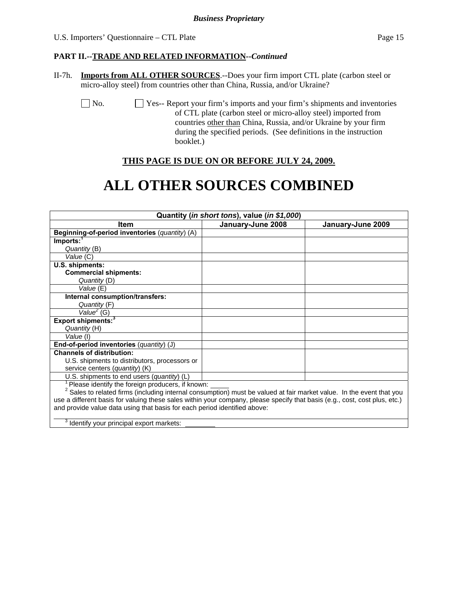### **PART II.--TRADE AND RELATED INFORMATION***--Continued*

II-7h. **Imports from ALL OTHER SOURCES**.--Does your firm import CTL plate (carbon steel or micro-alloy steel) from countries other than China, Russia, and/or Ukraine?

 No. Yes-- Report your firm's imports and your firm's shipments and inventories of CTL plate (carbon steel or micro-alloy steel) imported from countries other than China, Russia, and/or Ukraine by your firm during the specified periods. (See definitions in the instruction booklet.)

# **THIS PAGE IS DUE ON OR BEFORE JULY 24, 2009.**

# **ALL OTHER SOURCES COMBINED**

| Quantity (in short tons), value (in \$1,000)                                                                                    |                   |                   |  |  |  |
|---------------------------------------------------------------------------------------------------------------------------------|-------------------|-------------------|--|--|--|
| <b>Item</b>                                                                                                                     | January-June 2008 | January-June 2009 |  |  |  |
| Beginning-of-period inventories (quantity) (A)                                                                                  |                   |                   |  |  |  |
| $Imports:$ <sup>1</sup>                                                                                                         |                   |                   |  |  |  |
| Quantity (B)                                                                                                                    |                   |                   |  |  |  |
| Value (C)                                                                                                                       |                   |                   |  |  |  |
| U.S. shipments:                                                                                                                 |                   |                   |  |  |  |
| <b>Commercial shipments:</b>                                                                                                    |                   |                   |  |  |  |
| Quantity (D)                                                                                                                    |                   |                   |  |  |  |
| Value (E)                                                                                                                       |                   |                   |  |  |  |
| Internal consumption/transfers:                                                                                                 |                   |                   |  |  |  |
| Quantity (F)                                                                                                                    |                   |                   |  |  |  |
| Value $E$ (G)                                                                                                                   |                   |                   |  |  |  |
| Export shipments: <sup>3</sup>                                                                                                  |                   |                   |  |  |  |
| Quantity (H)                                                                                                                    |                   |                   |  |  |  |
| Value (I)                                                                                                                       |                   |                   |  |  |  |
| End-of-period inventories (quantity) (J)                                                                                        |                   |                   |  |  |  |
| <b>Channels of distribution:</b>                                                                                                |                   |                   |  |  |  |
| U.S. shipments to distributors, processors or                                                                                   |                   |                   |  |  |  |
| service centers (quantity) (K)                                                                                                  |                   |                   |  |  |  |
| U.S. shipments to end users (quantity) (L)                                                                                      |                   |                   |  |  |  |
| Please identify the foreign producers, if known:                                                                                |                   |                   |  |  |  |
| <sup>2</sup> Sales to related firms (including internal consumption) must be valued at fair market value. In the event that you |                   |                   |  |  |  |
| use a different basis for valuing these sales within your company, please specify that basis (e.g., cost, cost plus, etc.)      |                   |                   |  |  |  |
| and provide value data using that basis for each period identified above:                                                       |                   |                   |  |  |  |
|                                                                                                                                 |                   |                   |  |  |  |
| <sup>3</sup> Identify your principal export markets:                                                                            |                   |                   |  |  |  |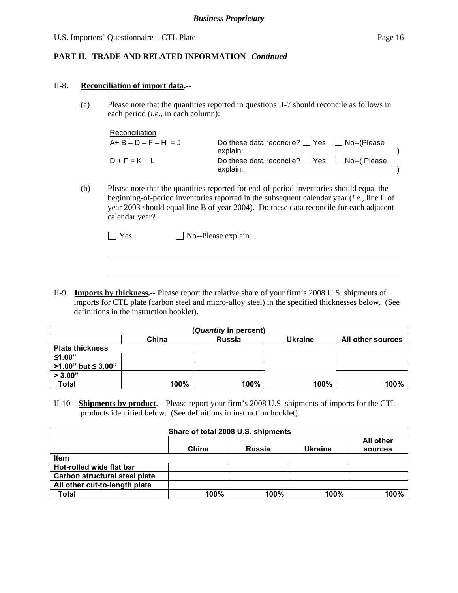# **PART II.--TRADE AND RELATED INFORMATION***--Continued*

#### II-8. **Reconciliation of import data.--**

l

(a) Please note that the quantities reported in questions II-7 should reconcile as follows in each period (*i.e.*, in each column):

| Reconciliation          |                                                                    |  |
|-------------------------|--------------------------------------------------------------------|--|
| $A + B - D - F - H = J$ | Do these data reconcile? $\Box$ Yes $\Box$ No--(Please<br>explain: |  |
| $D + F = K + L$         | Do these data reconcile? $\Box$ Yes $\Box$ No--(Please<br>explain: |  |
|                         |                                                                    |  |

(b) Please note that the quantities reported for end-of-period inventories should equal the beginning-of-period inventories reported in the subsequent calendar year (*i.e.*, line L of year 2003 should equal line B of year 2004). Do these data reconcile for each adjacent calendar year?

II-9. **Imports by thickness.--** Please report the relative share of your firm's 2008 U.S. shipments of imports for CTL plate (carbon steel and micro-alloy steel) in the specified thicknesses below. (See definitions in the instruction booklet).

|                        |       | (Quantity in percent) |                |                   |
|------------------------|-------|-----------------------|----------------|-------------------|
|                        | China | <b>Russia</b>         | <b>Ukraine</b> | All other sources |
| <b>Plate thickness</b> |       |                       |                |                   |
| ≤1.00"                 |       |                       |                |                   |
| >1.00" but ≤ 3.00"     |       |                       |                |                   |
| > 3.00"                |       |                       |                |                   |
| Total                  | 100%  | 100%                  | 100%           | 100%              |

II-10 **Shipments by product.--** Please report your firm's 2008 U.S. shipments of imports for the CTL products identified below. (See definitions in instruction booklet).

| Share of total 2008 U.S. shipments   |       |               |         |         |  |  |  |  |
|--------------------------------------|-------|---------------|---------|---------|--|--|--|--|
| <b>All other</b>                     |       |               |         |         |  |  |  |  |
|                                      | China | <b>Russia</b> | Ukraine | sources |  |  |  |  |
| <b>Item</b>                          |       |               |         |         |  |  |  |  |
| Hot-rolled wide flat bar             |       |               |         |         |  |  |  |  |
| <b>Carbon structural steel plate</b> |       |               |         |         |  |  |  |  |
| All other cut-to-length plate        |       |               |         |         |  |  |  |  |
| Total                                | 100%  | 100%          | 100%    | 100%    |  |  |  |  |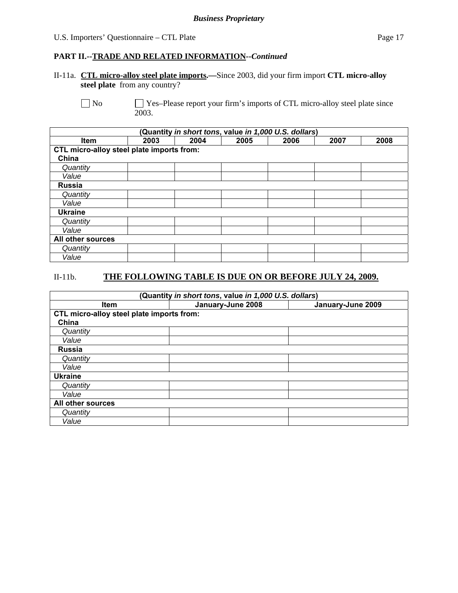#### **PART II.--TRADE AND RELATED INFORMATION***--Continued*

II-11a. **CTL micro-alloy steel plate imports.—**Since 2003, did your firm import **CTL micro-alloy steel plate** from any country?

No Ses–Please report your firm's imports of CTL micro-alloy steel plate since 2003.

| (Quantity in short tons, value in 1,000 U.S. dollars) |                                           |      |      |      |      |      |  |
|-------------------------------------------------------|-------------------------------------------|------|------|------|------|------|--|
| <b>Item</b>                                           | 2003                                      | 2004 | 2005 | 2006 | 2007 | 2008 |  |
|                                                       | CTL micro-alloy steel plate imports from: |      |      |      |      |      |  |
| China                                                 |                                           |      |      |      |      |      |  |
| Quantity                                              |                                           |      |      |      |      |      |  |
| Value                                                 |                                           |      |      |      |      |      |  |
| <b>Russia</b>                                         |                                           |      |      |      |      |      |  |
| Quantity                                              |                                           |      |      |      |      |      |  |
| Value                                                 |                                           |      |      |      |      |      |  |
| <b>Ukraine</b>                                        |                                           |      |      |      |      |      |  |
| Quantity                                              |                                           |      |      |      |      |      |  |
| Value                                                 |                                           |      |      |      |      |      |  |
| All other sources                                     |                                           |      |      |      |      |      |  |
| Quantity                                              |                                           |      |      |      |      |      |  |
| Value                                                 |                                           |      |      |      |      |      |  |

# II-11b. **THE FOLLOWING TABLE IS DUE ON OR BEFORE JULY 24, 2009.**

| (Quantity in short tons, value in 1,000 U.S. dollars) |                   |                   |  |  |  |  |  |
|-------------------------------------------------------|-------------------|-------------------|--|--|--|--|--|
| Item                                                  | January-June 2008 | January-June 2009 |  |  |  |  |  |
| CTL micro-alloy steel plate imports from:             |                   |                   |  |  |  |  |  |
| China                                                 |                   |                   |  |  |  |  |  |
| Quantity                                              |                   |                   |  |  |  |  |  |
| Value                                                 |                   |                   |  |  |  |  |  |
| <b>Russia</b>                                         |                   |                   |  |  |  |  |  |
| Quantity                                              |                   |                   |  |  |  |  |  |
| Value                                                 |                   |                   |  |  |  |  |  |
| <b>Ukraine</b>                                        |                   |                   |  |  |  |  |  |
| Quantity                                              |                   |                   |  |  |  |  |  |
| Value                                                 |                   |                   |  |  |  |  |  |
| All other sources                                     |                   |                   |  |  |  |  |  |
| Quantity                                              |                   |                   |  |  |  |  |  |
| Value                                                 |                   |                   |  |  |  |  |  |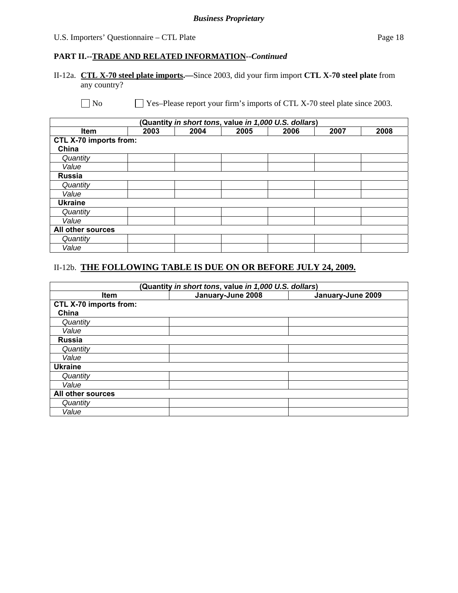### U.S. Importers' Questionnaire – CTL Plate Page 18

# **PART II.--TRADE AND RELATED INFORMATION***--Continued*

# II-12a. **CTL X-70 steel plate imports.—**Since 2003, did your firm import **CTL X-70 steel plate** from any country?

No Ses–Please report your firm's imports of CTL X-70 steel plate since 2003.

| (Quantity in short tons, value in 1,000 U.S. dollars) |                               |      |      |      |      |      |  |  |
|-------------------------------------------------------|-------------------------------|------|------|------|------|------|--|--|
| Item                                                  | 2003                          | 2004 | 2005 | 2006 | 2007 | 2008 |  |  |
|                                                       | <b>CTL X-70 imports from:</b> |      |      |      |      |      |  |  |
| China                                                 |                               |      |      |      |      |      |  |  |
| Quantity                                              |                               |      |      |      |      |      |  |  |
| Value                                                 |                               |      |      |      |      |      |  |  |
| <b>Russia</b>                                         |                               |      |      |      |      |      |  |  |
| Quantity                                              |                               |      |      |      |      |      |  |  |
| Value                                                 |                               |      |      |      |      |      |  |  |
| <b>Ukraine</b>                                        |                               |      |      |      |      |      |  |  |
| Quantity                                              |                               |      |      |      |      |      |  |  |
| Value                                                 |                               |      |      |      |      |      |  |  |
| All other sources                                     |                               |      |      |      |      |      |  |  |
| Quantity                                              |                               |      |      |      |      |      |  |  |
| Value                                                 |                               |      |      |      |      |      |  |  |

### II-12b. **THE FOLLOWING TABLE IS DUE ON OR BEFORE JULY 24, 2009.**

| (Quantity in short tons, value in 1,000 U.S. dollars) |                   |                   |  |  |  |
|-------------------------------------------------------|-------------------|-------------------|--|--|--|
| <b>Item</b>                                           | January-June 2008 | January-June 2009 |  |  |  |
| CTL X-70 imports from:                                |                   |                   |  |  |  |
| China                                                 |                   |                   |  |  |  |
| Quantity                                              |                   |                   |  |  |  |
| Value                                                 |                   |                   |  |  |  |
| <b>Russia</b>                                         |                   |                   |  |  |  |
| Quantity                                              |                   |                   |  |  |  |
| Value                                                 |                   |                   |  |  |  |
| <b>Ukraine</b>                                        |                   |                   |  |  |  |
| Quantity                                              |                   |                   |  |  |  |
| Value                                                 |                   |                   |  |  |  |
| All other sources                                     |                   |                   |  |  |  |
| Quantity                                              |                   |                   |  |  |  |
| Value                                                 |                   |                   |  |  |  |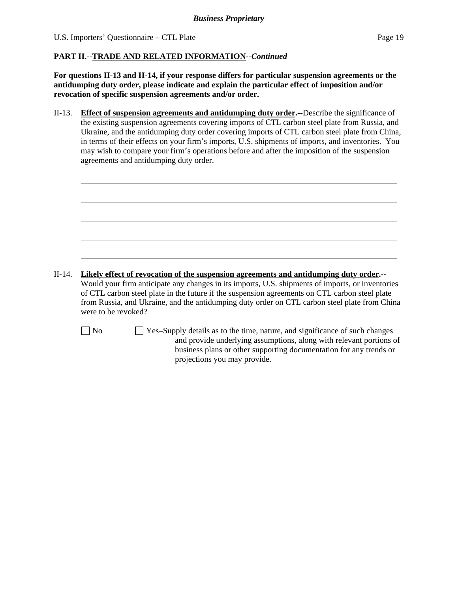$\overline{a}$ 

 $\overline{a}$ 

#### **PART II.--TRADE AND RELATED INFORMATION***--Continued*

**For questions II-13 and II-14, if your response differs for particular suspension agreements or the antidumping duty order, please indicate and explain the particular effect of imposition and/or revocation of specific suspension agreements and/or order.**

II-13. **Effect of suspension agreements and antidumping duty order.--**Describe the significance of the existing suspension agreements covering imports of CTL carbon steel plate from Russia, and Ukraine, and the antidumping duty order covering imports of CTL carbon steel plate from China, in terms of their effects on your firm's imports, U.S. shipments of imports, and inventories. You may wish to compare your firm's operations before and after the imposition of the suspension agreements and antidumping duty order.

| $II-14.$ | Likely effect of revocation of the suspension agreements and antidumping duty order.--<br>Would your firm anticipate any changes in its imports, U.S. shipments of imports, or inventories<br>of CTL carbon steel plate in the future if the suspension agreements on CTL carbon steel plate<br>from Russia, and Ukraine, and the antidumping duty order on CTL carbon steel plate from China<br>were to be revoked? |                                                                                                                                                           |  |  |
|----------|----------------------------------------------------------------------------------------------------------------------------------------------------------------------------------------------------------------------------------------------------------------------------------------------------------------------------------------------------------------------------------------------------------------------|-----------------------------------------------------------------------------------------------------------------------------------------------------------|--|--|
|          | $ $ No                                                                                                                                                                                                                                                                                                                                                                                                               | $\Box$ Yes-Supply details as to the time, nature, and significance of such changes<br>and provide underlying assumptions, along with relevant portions of |  |  |

and provide underlying assumptions, along with relevant portions of business plans or other supporting documentation for any trends or projections you may provide.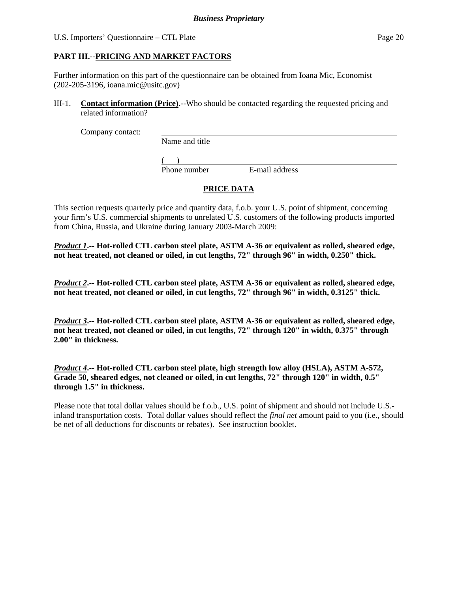# **PART III.--PRICING AND MARKET FACTORS**

Further information on this part of the questionnaire can be obtained from Ioana Mic, Economist (202-205-3196, ioana.mic@usitc.gov)

III-1. **Contact information (Price).--**Who should be contacted regarding the requested pricing and related information?

Company contact:

Name and title

 $($ 

Phone number E-mail address

# **PRICE DATA**

This section requests quarterly price and quantity data, f.o.b. your U.S. point of shipment, concerning your firm's U.S. commercial shipments to unrelated U.S. customers of the following products imported from China, Russia, and Ukraine during January 2003-March 2009:

*Product 1***.-- Hot-rolled CTL carbon steel plate, ASTM A-36 or equivalent as rolled, sheared edge, not heat treated, not cleaned or oiled, in cut lengths, 72" through 96" in width, 0.250" thick.**

*Product 2***.-- Hot-rolled CTL carbon steel plate, ASTM A-36 or equivalent as rolled, sheared edge, not heat treated, not cleaned or oiled, in cut lengths, 72" through 96" in width, 0.3125" thick.** 

*Product 3***.-- Hot-rolled CTL carbon steel plate, ASTM A-36 or equivalent as rolled, sheared edge, not heat treated, not cleaned or oiled, in cut lengths, 72" through 120" in width, 0.375" through 2.00" in thickness.**

*Product 4***.-- Hot-rolled CTL carbon steel plate, high strength low alloy (HSLA), ASTM A-572, Grade 50, sheared edges, not cleaned or oiled, in cut lengths, 72" through 120" in width, 0.5" through 1.5" in thickness.**

Please note that total dollar values should be f.o.b., U.S. point of shipment and should not include U.S. inland transportation costs. Total dollar values should reflect the *final net* amount paid to you (i.e., should be net of all deductions for discounts or rebates). See instruction booklet.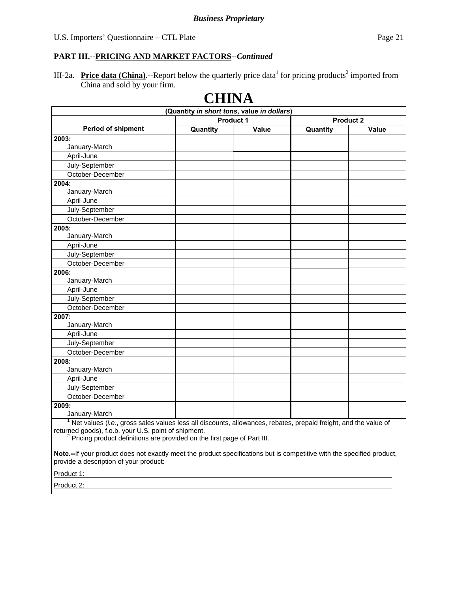III-2a. **Price data (China).**--Report below the quarterly price data<sup>1</sup> for pricing products<sup>2</sup> imported from China and sold by your firm.

|                                                                                                                                               | (Quantity in short tons, value in dollars) |       |                  |       |
|-----------------------------------------------------------------------------------------------------------------------------------------------|--------------------------------------------|-------|------------------|-------|
|                                                                                                                                               | <b>Product 1</b>                           |       | <b>Product 2</b> |       |
| <b>Period of shipment</b>                                                                                                                     | Quantity                                   | Value | Quantity         | Value |
| 2003:                                                                                                                                         |                                            |       |                  |       |
| January-March                                                                                                                                 |                                            |       |                  |       |
| April-June                                                                                                                                    |                                            |       |                  |       |
| July-September                                                                                                                                |                                            |       |                  |       |
| October-December                                                                                                                              |                                            |       |                  |       |
| 2004:                                                                                                                                         |                                            |       |                  |       |
| January-March                                                                                                                                 |                                            |       |                  |       |
| April-June                                                                                                                                    |                                            |       |                  |       |
| July-September                                                                                                                                |                                            |       |                  |       |
| October-December                                                                                                                              |                                            |       |                  |       |
| 2005:                                                                                                                                         |                                            |       |                  |       |
| January-March                                                                                                                                 |                                            |       |                  |       |
| April-June                                                                                                                                    |                                            |       |                  |       |
| July-September                                                                                                                                |                                            |       |                  |       |
| October-December                                                                                                                              |                                            |       |                  |       |
| 2006:                                                                                                                                         |                                            |       |                  |       |
| January-March                                                                                                                                 |                                            |       |                  |       |
| April-June                                                                                                                                    |                                            |       |                  |       |
| July-September                                                                                                                                |                                            |       |                  |       |
| October-December                                                                                                                              |                                            |       |                  |       |
| 2007:                                                                                                                                         |                                            |       |                  |       |
| January-March                                                                                                                                 |                                            |       |                  |       |
| April-June                                                                                                                                    |                                            |       |                  |       |
| July-September                                                                                                                                |                                            |       |                  |       |
| October-December                                                                                                                              |                                            |       |                  |       |
| 2008:                                                                                                                                         |                                            |       |                  |       |
| January-March                                                                                                                                 |                                            |       |                  |       |
| April-June                                                                                                                                    |                                            |       |                  |       |
| July-September                                                                                                                                |                                            |       |                  |       |
| October-December                                                                                                                              |                                            |       |                  |       |
| 2009:                                                                                                                                         |                                            |       |                  |       |
| January-March<br>$1$ Net values ( <i>i.e.</i> , gross sales values less all discounts, allowances, rebates, prepaid freight, and the value of |                                            |       |                  |       |

returned goods), f.o.b. your U.S. point of shipment.

<sup>2</sup> Pricing product definitions are provided on the first page of Part III.

**Note.--**If your product does not exactly meet the product specifications but is competitive with the specified product, provide a description of your product:

Product 1:

Product 2: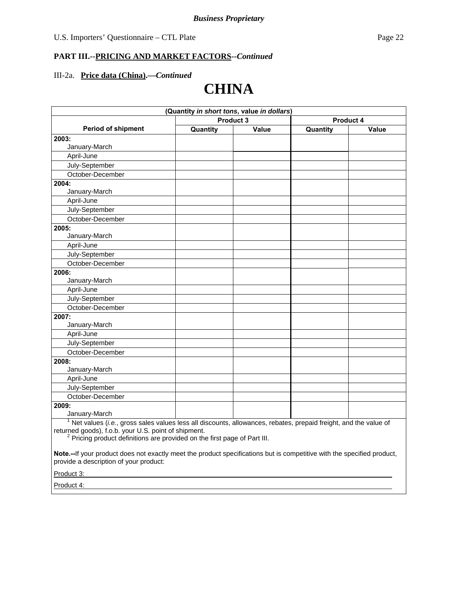#### III-2a. **Price data (China).—***Continued*

# **CHINA**

| (Quantity in short tons, value in dollars)                                                                      |           |       |           |       |
|-----------------------------------------------------------------------------------------------------------------|-----------|-------|-----------|-------|
|                                                                                                                 | Product 3 |       | Product 4 |       |
| Period of shipment                                                                                              | Quantity  | Value | Quantity  | Value |
| 2003:                                                                                                           |           |       |           |       |
| January-March                                                                                                   |           |       |           |       |
| April-June                                                                                                      |           |       |           |       |
| July-September                                                                                                  |           |       |           |       |
| October-December                                                                                                |           |       |           |       |
| 2004:                                                                                                           |           |       |           |       |
| January-March                                                                                                   |           |       |           |       |
| April-June                                                                                                      |           |       |           |       |
| July-September                                                                                                  |           |       |           |       |
| October-December                                                                                                |           |       |           |       |
| 2005:                                                                                                           |           |       |           |       |
| January-March                                                                                                   |           |       |           |       |
| April-June                                                                                                      |           |       |           |       |
| July-September                                                                                                  |           |       |           |       |
| October-December                                                                                                |           |       |           |       |
| 2006:                                                                                                           |           |       |           |       |
| January-March                                                                                                   |           |       |           |       |
| April-June                                                                                                      |           |       |           |       |
| July-September                                                                                                  |           |       |           |       |
| October-December                                                                                                |           |       |           |       |
| 2007:                                                                                                           |           |       |           |       |
| January-March                                                                                                   |           |       |           |       |
| April-June                                                                                                      |           |       |           |       |
| July-September                                                                                                  |           |       |           |       |
| October-December                                                                                                |           |       |           |       |
| 2008:                                                                                                           |           |       |           |       |
| January-March                                                                                                   |           |       |           |       |
| April-June                                                                                                      |           |       |           |       |
| July-September                                                                                                  |           |       |           |       |
| October-December                                                                                                |           |       |           |       |
| 2009:                                                                                                           |           |       |           |       |
| January-March                                                                                                   |           |       |           |       |
| Net values (i.e., gross sales values less all discounts, allowances, rebates, prepaid freight, and the value of |           |       |           |       |

returned goods), f.o.b. your U.S. point of shipment.<br><sup>2</sup> Pricing product definitions are provided on the first page of Part III.

**Note.--**If your product does not exactly meet the product specifications but is competitive with the specified product, provide a description of your product:

Product 3:

Product 4: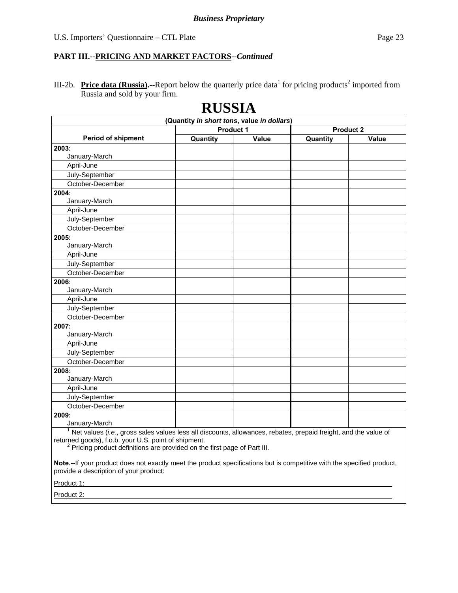III-2b. **Price data (Russia).**--Report below the quarterly price data<sup>1</sup> for pricing products<sup>2</sup> imported from Russia and sold by your firm.

**RUSSIA** 

|                                                                                                                            | (Quantity in short tons, value in dollars) |       |                  |       |
|----------------------------------------------------------------------------------------------------------------------------|--------------------------------------------|-------|------------------|-------|
|                                                                                                                            | <b>Product 1</b>                           |       | <b>Product 2</b> |       |
| <b>Period of shipment</b>                                                                                                  | Quantity                                   | Value | Quantity         | Value |
| 2003:                                                                                                                      |                                            |       |                  |       |
| January-March                                                                                                              |                                            |       |                  |       |
| April-June                                                                                                                 |                                            |       |                  |       |
| July-September                                                                                                             |                                            |       |                  |       |
| October-December                                                                                                           |                                            |       |                  |       |
| 2004:                                                                                                                      |                                            |       |                  |       |
| January-March                                                                                                              |                                            |       |                  |       |
| April-June                                                                                                                 |                                            |       |                  |       |
| July-September                                                                                                             |                                            |       |                  |       |
| October-December                                                                                                           |                                            |       |                  |       |
| 2005:                                                                                                                      |                                            |       |                  |       |
| January-March                                                                                                              |                                            |       |                  |       |
| April-June                                                                                                                 |                                            |       |                  |       |
| July-September                                                                                                             |                                            |       |                  |       |
| October-December                                                                                                           |                                            |       |                  |       |
| 2006:                                                                                                                      |                                            |       |                  |       |
| January-March                                                                                                              |                                            |       |                  |       |
| April-June                                                                                                                 |                                            |       |                  |       |
| July-September                                                                                                             |                                            |       |                  |       |
| October-December                                                                                                           |                                            |       |                  |       |
| 2007:                                                                                                                      |                                            |       |                  |       |
| January-March                                                                                                              |                                            |       |                  |       |
| April-June                                                                                                                 |                                            |       |                  |       |
| July-September                                                                                                             |                                            |       |                  |       |
| October-December                                                                                                           |                                            |       |                  |       |
| 2008:                                                                                                                      |                                            |       |                  |       |
| January-March                                                                                                              |                                            |       |                  |       |
| April-June                                                                                                                 |                                            |       |                  |       |
| July-September                                                                                                             |                                            |       |                  |       |
| October-December                                                                                                           |                                            |       |                  |       |
| 2009:                                                                                                                      |                                            |       |                  |       |
| January-March                                                                                                              |                                            |       |                  |       |
| $1$ Net values <i>(i.e., gross sales values less all discounts, allowances, rebates, prepaid freight, and the value of</i> |                                            |       |                  |       |

 Net values (*i.e.*, gross sales values less all discounts, allowances, rebates, prepaid freight, and the value of returned goods), f.o.b. your U.S. point of shipment.<br><sup>2</sup> Pricing product definitions are provided on the first page of Part III.

**Note.--**If your product does not exactly meet the product specifications but is competitive with the specified product, provide a description of your product:

Product 1:

Product 2: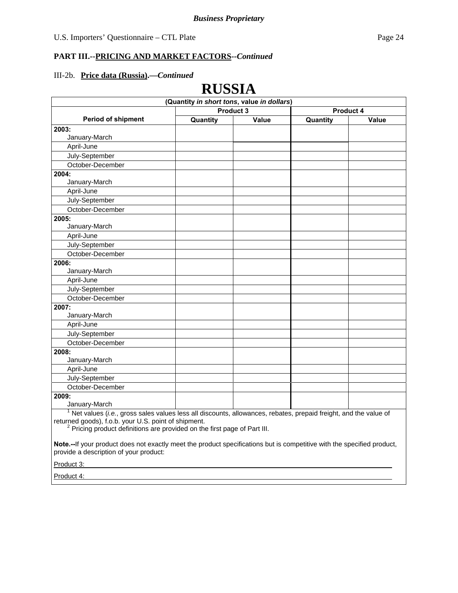**RUSSIA**

# **PART III.--PRICING AND MARKET FACTORS***--Continued*

#### III-2b. **Price data (Russia).—***Continued*

|                                                                                                                 | **↓レレナ**                                   |       |           |       |
|-----------------------------------------------------------------------------------------------------------------|--------------------------------------------|-------|-----------|-------|
|                                                                                                                 | (Quantity in short tons, value in dollars) |       |           |       |
|                                                                                                                 | Product 3                                  |       | Product 4 |       |
| <b>Period of shipment</b>                                                                                       | Quantity                                   | Value | Quantity  | Value |
| 2003:                                                                                                           |                                            |       |           |       |
| January-March                                                                                                   |                                            |       |           |       |
| April-June                                                                                                      |                                            |       |           |       |
| July-September                                                                                                  |                                            |       |           |       |
| October-December                                                                                                |                                            |       |           |       |
| 2004:                                                                                                           |                                            |       |           |       |
| January-March                                                                                                   |                                            |       |           |       |
| April-June                                                                                                      |                                            |       |           |       |
| July-September                                                                                                  |                                            |       |           |       |
| October-December                                                                                                |                                            |       |           |       |
| 2005:                                                                                                           |                                            |       |           |       |
| January-March                                                                                                   |                                            |       |           |       |
| April-June                                                                                                      |                                            |       |           |       |
| July-September                                                                                                  |                                            |       |           |       |
| October-December                                                                                                |                                            |       |           |       |
| 2006:                                                                                                           |                                            |       |           |       |
| January-March                                                                                                   |                                            |       |           |       |
| April-June                                                                                                      |                                            |       |           |       |
| July-September                                                                                                  |                                            |       |           |       |
| October-December                                                                                                |                                            |       |           |       |
| 2007:                                                                                                           |                                            |       |           |       |
| January-March                                                                                                   |                                            |       |           |       |
| April-June                                                                                                      |                                            |       |           |       |
| July-September                                                                                                  |                                            |       |           |       |
| October-December                                                                                                |                                            |       |           |       |
| 2008:                                                                                                           |                                            |       |           |       |
| January-March                                                                                                   |                                            |       |           |       |
| April-June                                                                                                      |                                            |       |           |       |
| July-September                                                                                                  |                                            |       |           |       |
| October-December                                                                                                |                                            |       |           |       |
| 2009:                                                                                                           |                                            |       |           |       |
| January-March                                                                                                   |                                            |       |           |       |
| Net values (i.e., gross sales values less all discounts, allowances, rebates, prepaid freight, and the value of |                                            |       |           |       |
| returned goods) f o b your U.S. point of shipment                                                               |                                            |       |           |       |

returned goods), f.o.b. your U.S. point of shipment.<br><sup>2</sup> Pricing product definitions are provided on the first page of Part III.

**Note.--**If your product does not exactly meet the product specifications but is competitive with the specified product, provide a description of your product:

Product 3:

Product 4: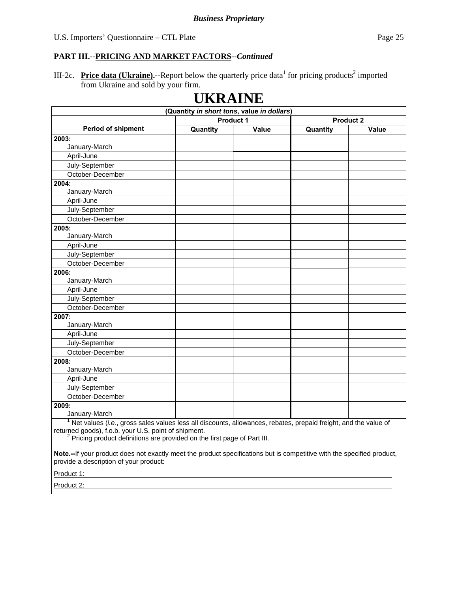III-2c. **Price data (Ukraine).**--Report below the quarterly price data<sup>1</sup> for pricing products<sup>2</sup> imported from Ukraine and sold by your firm.

|                                                                                                                                      | <b>UKRAINE</b><br>(Quantity in short tons, value in dollars) |       |                  |       |
|--------------------------------------------------------------------------------------------------------------------------------------|--------------------------------------------------------------|-------|------------------|-------|
|                                                                                                                                      | <b>Product 1</b>                                             |       | <b>Product 2</b> |       |
| Period of shipment                                                                                                                   | Quantity                                                     | Value | Quantity         | Value |
| 2003:                                                                                                                                |                                                              |       |                  |       |
| January-March                                                                                                                        |                                                              |       |                  |       |
| April-June                                                                                                                           |                                                              |       |                  |       |
| July-September                                                                                                                       |                                                              |       |                  |       |
| October-December                                                                                                                     |                                                              |       |                  |       |
| 2004:                                                                                                                                |                                                              |       |                  |       |
| January-March                                                                                                                        |                                                              |       |                  |       |
| April-June                                                                                                                           |                                                              |       |                  |       |
| July-September                                                                                                                       |                                                              |       |                  |       |
| October-December                                                                                                                     |                                                              |       |                  |       |
| 2005:                                                                                                                                |                                                              |       |                  |       |
| January-March                                                                                                                        |                                                              |       |                  |       |
| April-June                                                                                                                           |                                                              |       |                  |       |
| July-September                                                                                                                       |                                                              |       |                  |       |
| October-December                                                                                                                     |                                                              |       |                  |       |
| 2006:                                                                                                                                |                                                              |       |                  |       |
| January-March                                                                                                                        |                                                              |       |                  |       |
| April-June                                                                                                                           |                                                              |       |                  |       |
| July-September                                                                                                                       |                                                              |       |                  |       |
| October-December                                                                                                                     |                                                              |       |                  |       |
| 2007:                                                                                                                                |                                                              |       |                  |       |
| January-March                                                                                                                        |                                                              |       |                  |       |
| April-June                                                                                                                           |                                                              |       |                  |       |
| July-September                                                                                                                       |                                                              |       |                  |       |
| October-December                                                                                                                     |                                                              |       |                  |       |
| 2008:                                                                                                                                |                                                              |       |                  |       |
| January-March                                                                                                                        |                                                              |       |                  |       |
| April-June                                                                                                                           |                                                              |       |                  |       |
| July-September                                                                                                                       |                                                              |       |                  |       |
| October-December                                                                                                                     |                                                              |       |                  |       |
| 2009:                                                                                                                                |                                                              |       |                  |       |
| January-March<br>$1$ Net values (i.e., gross sales values less all discounts, allowances, rebates, prepaid freight, and the value of |                                                              |       |                  |       |

returned goods), f.o.b. your U.S. point of shipment.<br><sup>2</sup> Pricing product definitions are provided on the first page of Part III.

**Note.--**If your product does not exactly meet the product specifications but is competitive with the specified product, provide a description of your product:

Product 1:

Product 2: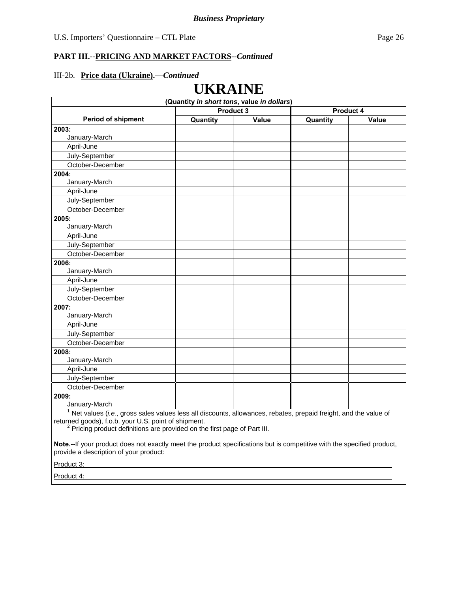**UKRAINE**

# **PART III.--PRICING AND MARKET FACTORS***--Continued*

#### III-2b. **Price data (Ukraine).—***Continued*

|                                                                                                                 | U 11111111                                 |       |           |       |
|-----------------------------------------------------------------------------------------------------------------|--------------------------------------------|-------|-----------|-------|
|                                                                                                                 | (Quantity in short tons, value in dollars) |       |           |       |
|                                                                                                                 | Product 3                                  |       | Product 4 |       |
| <b>Period of shipment</b>                                                                                       | Quantity                                   | Value | Quantity  | Value |
| 2003:                                                                                                           |                                            |       |           |       |
| January-March                                                                                                   |                                            |       |           |       |
| April-June                                                                                                      |                                            |       |           |       |
| July-September                                                                                                  |                                            |       |           |       |
| October-December                                                                                                |                                            |       |           |       |
| 2004:                                                                                                           |                                            |       |           |       |
| January-March                                                                                                   |                                            |       |           |       |
| April-June                                                                                                      |                                            |       |           |       |
| July-September                                                                                                  |                                            |       |           |       |
| October-December                                                                                                |                                            |       |           |       |
| 2005:                                                                                                           |                                            |       |           |       |
| January-March                                                                                                   |                                            |       |           |       |
| April-June                                                                                                      |                                            |       |           |       |
| July-September                                                                                                  |                                            |       |           |       |
| October-December                                                                                                |                                            |       |           |       |
| 2006:                                                                                                           |                                            |       |           |       |
| January-March                                                                                                   |                                            |       |           |       |
| April-June                                                                                                      |                                            |       |           |       |
| July-September                                                                                                  |                                            |       |           |       |
| October-December                                                                                                |                                            |       |           |       |
| 2007:                                                                                                           |                                            |       |           |       |
| January-March                                                                                                   |                                            |       |           |       |
| April-June                                                                                                      |                                            |       |           |       |
| July-September                                                                                                  |                                            |       |           |       |
| October-December                                                                                                |                                            |       |           |       |
| 2008:                                                                                                           |                                            |       |           |       |
| January-March                                                                                                   |                                            |       |           |       |
| April-June                                                                                                      |                                            |       |           |       |
| July-September                                                                                                  |                                            |       |           |       |
| October-December                                                                                                |                                            |       |           |       |
| 2009:                                                                                                           |                                            |       |           |       |
| January-March                                                                                                   |                                            |       |           |       |
| Net values (i.e., gross sales values less all discounts, allowances, rebates, prepaid freight, and the value of |                                            |       |           |       |

returned goods), f.o.b. your U.S. point of shipment.<br><sup>2</sup> Pricing product definitions are provided on the first page of Part III.

**Note.--**If your product does not exactly meet the product specifications but is competitive with the specified product, provide a description of your product:

Product 3:

Product 4: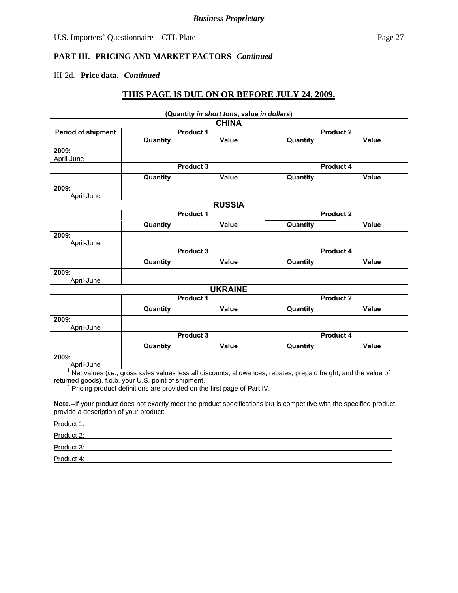# III-2d. **Price data.--***Continued*

# **THIS PAGE IS DUE ON OR BEFORE JULY 24, 2009.**

|                                                                                                                                                                                                    |                                                                                     | (Quantity in short tons, value in dollars) |                                                                                                                        |       |
|----------------------------------------------------------------------------------------------------------------------------------------------------------------------------------------------------|-------------------------------------------------------------------------------------|--------------------------------------------|------------------------------------------------------------------------------------------------------------------------|-------|
|                                                                                                                                                                                                    |                                                                                     | <b>CHINA</b>                               |                                                                                                                        |       |
| <b>Period of shipment</b>                                                                                                                                                                          |                                                                                     | <b>Product 1</b>                           | <b>Product 2</b>                                                                                                       |       |
|                                                                                                                                                                                                    | Quantity                                                                            | Value                                      | Quantity                                                                                                               | Value |
| 2009:                                                                                                                                                                                              |                                                                                     |                                            |                                                                                                                        |       |
| April-June                                                                                                                                                                                         |                                                                                     | Product 3                                  | Product 4                                                                                                              |       |
|                                                                                                                                                                                                    |                                                                                     |                                            |                                                                                                                        |       |
|                                                                                                                                                                                                    | <b>Quantity</b>                                                                     | Value                                      | Quantity                                                                                                               | Value |
| 2009:<br>April-June                                                                                                                                                                                |                                                                                     |                                            |                                                                                                                        |       |
|                                                                                                                                                                                                    |                                                                                     | <b>RUSSIA</b>                              |                                                                                                                        |       |
|                                                                                                                                                                                                    |                                                                                     | <b>Product 1</b>                           | <b>Product 2</b>                                                                                                       |       |
|                                                                                                                                                                                                    | Quantity                                                                            | <b>Value</b>                               | Quantity                                                                                                               | Value |
| 2009:                                                                                                                                                                                              |                                                                                     |                                            |                                                                                                                        |       |
| April-June                                                                                                                                                                                         |                                                                                     |                                            |                                                                                                                        |       |
|                                                                                                                                                                                                    |                                                                                     | Product 3                                  | Product 4                                                                                                              |       |
|                                                                                                                                                                                                    | Quantity                                                                            | Value                                      | Quantity                                                                                                               | Value |
| 2009:                                                                                                                                                                                              |                                                                                     |                                            |                                                                                                                        |       |
| April-June                                                                                                                                                                                         |                                                                                     |                                            |                                                                                                                        |       |
|                                                                                                                                                                                                    |                                                                                     | <b>UKRAINE</b>                             |                                                                                                                        |       |
|                                                                                                                                                                                                    |                                                                                     | <b>Product 1</b>                           | <b>Product 2</b>                                                                                                       |       |
|                                                                                                                                                                                                    | Quantity                                                                            | Value                                      | Quantity                                                                                                               | Value |
| 2009:<br>April-June                                                                                                                                                                                |                                                                                     |                                            |                                                                                                                        |       |
|                                                                                                                                                                                                    |                                                                                     | Product 3                                  | Product 4                                                                                                              |       |
|                                                                                                                                                                                                    | <b>Quantity</b>                                                                     | Value                                      | Quantity                                                                                                               | Value |
| 2009:                                                                                                                                                                                              |                                                                                     |                                            |                                                                                                                        |       |
| April-June<br>$1$ Net values ( <i>i.e.</i> , gross sales values less all discounts, allowances, rebates, prepaid freight, and the value of<br>returned goods), f.o.b. your U.S. point of shipment. |                                                                                     |                                            |                                                                                                                        |       |
|                                                                                                                                                                                                    | <sup>2</sup> Pricing product definitions are provided on the first page of Part IV. |                                            |                                                                                                                        |       |
| provide a description of your product:                                                                                                                                                             |                                                                                     |                                            | Note.--If your product does not exactly meet the product specifications but is competitive with the specified product, |       |
| Product 1:                                                                                                                                                                                         |                                                                                     |                                            |                                                                                                                        |       |
| Product 2:                                                                                                                                                                                         |                                                                                     |                                            |                                                                                                                        |       |
| Product 3:                                                                                                                                                                                         |                                                                                     |                                            |                                                                                                                        |       |
| Product 4:                                                                                                                                                                                         |                                                                                     |                                            |                                                                                                                        |       |
|                                                                                                                                                                                                    |                                                                                     |                                            |                                                                                                                        |       |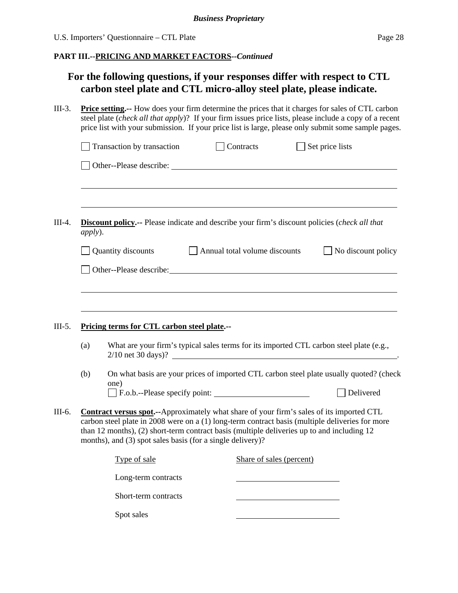# **For the following questions, if your responses differ with respect to CTL carbon steel plate and CTL micro-alloy steel plate, please indicate.**

|                 | <b>Price setting.</b> -- How does your firm determine the prices that it charges for sales of CTL carbon<br>steel plate (check all that apply)? If your firm issues price lists, please include a copy of a recent<br>price list with your submission. If your price list is large, please only submit some sample pages. |  |                                      |                                                                                                               |  |  |
|-----------------|---------------------------------------------------------------------------------------------------------------------------------------------------------------------------------------------------------------------------------------------------------------------------------------------------------------------------|--|--------------------------------------|---------------------------------------------------------------------------------------------------------------|--|--|
|                 | Transaction by transaction                                                                                                                                                                                                                                                                                                |  | $\Box$ Contracts                     | $\Box$ Set price lists                                                                                        |  |  |
|                 |                                                                                                                                                                                                                                                                                                                           |  |                                      |                                                                                                               |  |  |
| <i>apply</i> ). | <b>Discount policy.</b> -- Please indicate and describe your firm's discount policies (check all that                                                                                                                                                                                                                     |  |                                      |                                                                                                               |  |  |
|                 | Quantity discounts                                                                                                                                                                                                                                                                                                        |  | $\Box$ Annual total volume discounts | No discount policy                                                                                            |  |  |
|                 | Other--Please describe: Note that the contract of the contract of the contract of the contract of the contract of the contract of the contract of the contract of the contract of the contract of the contract of the contract                                                                                            |  |                                      |                                                                                                               |  |  |
|                 |                                                                                                                                                                                                                                                                                                                           |  |                                      |                                                                                                               |  |  |
|                 |                                                                                                                                                                                                                                                                                                                           |  |                                      |                                                                                                               |  |  |
|                 | Pricing terms for CTL carbon steel plate.--                                                                                                                                                                                                                                                                               |  |                                      |                                                                                                               |  |  |
| (a)             |                                                                                                                                                                                                                                                                                                                           |  |                                      | What are your firm's typical sales terms for its imported CTL carbon steel plate (e.g.,<br>2/10 net 30 days)? |  |  |
| (b)             |                                                                                                                                                                                                                                                                                                                           |  |                                      | On what basis are your prices of imported CTL carbon steel plate usually quoted? (check                       |  |  |
|                 | one)<br>F.o.b.--Please specify point:                                                                                                                                                                                                                                                                                     |  |                                      | Delivered                                                                                                     |  |  |
|                 | Contract versus spot.--Approximately what share of your firm's sales of its imported CTL<br>than 12 months), (2) short-term contract basis (multiple deliveries up to and including 12<br>months), and (3) spot sales basis (for a single delivery)?                                                                      |  |                                      | carbon steel plate in 2008 were on a (1) long-term contract basis (multiple deliveries for more               |  |  |
|                 | Type of sale                                                                                                                                                                                                                                                                                                              |  | Share of sales (percent)             |                                                                                                               |  |  |
|                 | Long-term contracts                                                                                                                                                                                                                                                                                                       |  |                                      |                                                                                                               |  |  |
|                 | Short-term contracts                                                                                                                                                                                                                                                                                                      |  |                                      |                                                                                                               |  |  |
|                 | Spot sales                                                                                                                                                                                                                                                                                                                |  |                                      |                                                                                                               |  |  |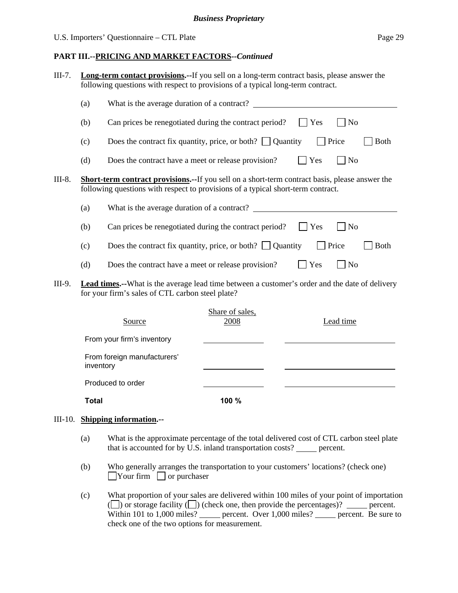#### **PART III.--PRICING AND MARKET FACTORS***--Continued*

| $III-7.$ |     | <b>Long-term contact provisions.</b> --If you sell on a long-term contract basis, please answer the<br>following questions with respect to provisions of a typical long-term contract.     |                         |             |                             |             |
|----------|-----|--------------------------------------------------------------------------------------------------------------------------------------------------------------------------------------------|-------------------------|-------------|-----------------------------|-------------|
|          | (a) | What is the average duration of a contract?                                                                                                                                                |                         |             |                             |             |
|          | (b) | Can prices be renegotiated during the contract period?                                                                                                                                     |                         | Yes         | <b>No</b>                   |             |
|          | (c) | Does the contract fix quantity, price, or both? $\Box$ Quantity                                                                                                                            |                         |             | Price                       | <b>Both</b> |
|          | (d) | Does the contract have a meet or release provision?                                                                                                                                        |                         | Yes         | No                          |             |
| III-8.   |     | <b>Short-term contract provisions.--</b> If you sell on a short-term contract basis, please answer the<br>following questions with respect to provisions of a typical short-term contract. |                         |             |                             |             |
|          | (a) | What is the average duration of a contract?                                                                                                                                                |                         |             |                             |             |
|          | (b) | Can prices be renegotiated during the contract period?                                                                                                                                     |                         | Yes         | $\blacksquare$ No           |             |
|          | (c) | Does the contract fix quantity, price, or both? $\Box$ Quantity                                                                                                                            |                         |             | Price                       | <b>Both</b> |
|          | (d) | Does the contract have a meet or release provision?                                                                                                                                        |                         | $\vert$ Yes | $\overline{\phantom{a}}$ No |             |
| III-9.   |     | <b>Lead times.</b> --What is the average lead time between a customer's order and the date of delivery<br>for your firm's sales of CTL carbon steel plate?                                 |                         |             |                             |             |
|          |     | Source                                                                                                                                                                                     | Share of sales,<br>2008 |             | Lead time                   |             |

| Source                                   | DINIV OF DRIVD.<br>2008 | Lead time |
|------------------------------------------|-------------------------|-----------|
| From your firm's inventory               |                         |           |
| From foreign manufacturers'<br>inventory |                         |           |
| Produced to order                        |                         |           |
| <b>Total</b>                             | 100 %                   |           |

#### III-10. **Shipping information.--**

- (a) What is the approximate percentage of the total delivered cost of CTL carbon steel plate that is accounted for by  $\dot{U}$ .S. inland transportation costs? \_\_\_\_\_ percent.
- (b) Who generally arranges the transportation to your customers' locations? (check one)  $\Box$ Your firm  $\Box$  or purchaser
- (c) What proportion of your sales are delivered within 100 miles of your point of importation ( $\Box$ ) or storage facility  $\Box$ ) (check one, then provide the percentages)?  $\Box$  percent. Within 101 to 1,000 miles? percent. Over 1,000 miles? percent. Be sure to check one of the two options for measurement.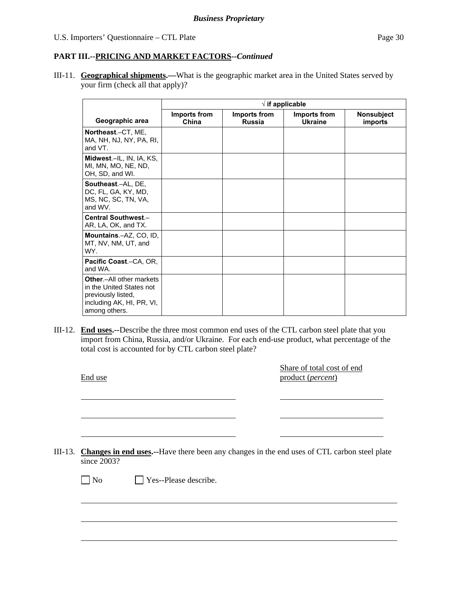III-11. **Geographical shipments.—**What is the geographic market area in the United States served by your firm (check all that apply)?

|                                                                                                                          | $\sqrt{ }$ if applicable |                               |                                |                                     |
|--------------------------------------------------------------------------------------------------------------------------|--------------------------|-------------------------------|--------------------------------|-------------------------------------|
| Geographic area                                                                                                          | Imports from<br>China    | Imports from<br><b>Russia</b> | Imports from<br><b>Ukraine</b> | <b>Nonsubject</b><br><b>imports</b> |
| Northeast.-CT, ME,<br>MA, NH, NJ, NY, PA, RI,<br>and VT.                                                                 |                          |                               |                                |                                     |
| Midwest.-IL, IN, IA, KS,<br>MI, MN, MO, NE, ND,<br>OH, SD, and WI.                                                       |                          |                               |                                |                                     |
| Southeast.-AL, DE,<br>DC, FL, GA, KY, MD,<br>MS, NC, SC, TN, VA,<br>and WV.                                              |                          |                               |                                |                                     |
| Central Southwest.-<br>AR, LA, OK, and TX.                                                                               |                          |                               |                                |                                     |
| Mountains.-AZ, CO, ID,<br>MT, NV, NM, UT, and<br>WY.                                                                     |                          |                               |                                |                                     |
| Pacific Coast.-CA, OR,<br>and WA.                                                                                        |                          |                               |                                |                                     |
| Other.-All other markets<br>in the United States not<br>previously listed,<br>including AK, HI, PR, VI,<br>among others. |                          |                               |                                |                                     |

III-12. **End uses.--**Describe the three most common end uses of the CTL carbon steel plate that you import from China, Russia, and/or Ukraine. For each end-use product, what percentage of the total cost is accounted for by CTL carbon steel plate?

End use

l

 $\overline{a}$ 

 $\overline{a}$ 

 $\overline{a}$ 

Share of total cost of end product (*percent*)

III-13. **Changes in end uses.--**Have there been any changes in the end uses of CTL carbon steel plate since 2003?

No **Yes--Please describe.**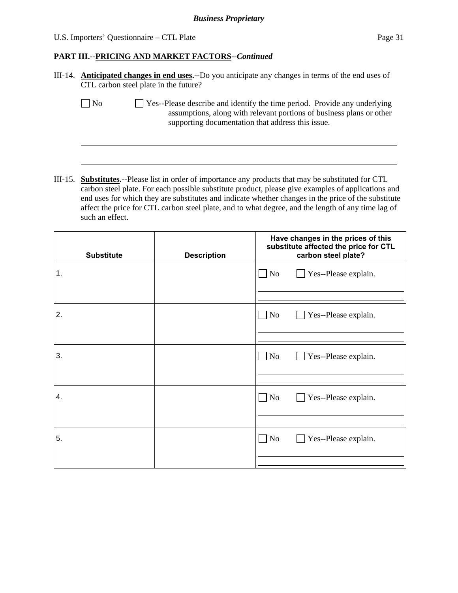$\overline{a}$ 

#### **PART III.--PRICING AND MARKET FACTORS***--Continued*

| III-14. <b>Anticipated changes in end uses.</b> --Do you anticipate any changes in terms of the end uses of |
|-------------------------------------------------------------------------------------------------------------|
| CTL carbon steel plate in the future?                                                                       |

 $\Box$  No  $\Box$  Yes--Please describe and identify the time period. Provide any underlying assumptions, along with relevant portions of business plans or other supporting documentation that address this issue.

III-15. **Substitutes.--**Please list in order of importance any products that may be substituted for CTL carbon steel plate. For each possible substitute product, please give examples of applications and end uses for which they are substitutes and indicate whether changes in the price of the substitute affect the price for CTL carbon steel plate, and to what degree, and the length of any time lag of such an effect.

| <b>Substitute</b> | <b>Description</b> | Have changes in the prices of this<br>substitute affected the price for CTL<br>carbon steel plate? |
|-------------------|--------------------|----------------------------------------------------------------------------------------------------|
| 1.                |                    | $\Box$ No<br>Yes--Please explain.                                                                  |
|                   |                    |                                                                                                    |
| 2.                |                    | $\Box$ No<br>Yes--Please explain.<br>$\mathcal{L}$                                                 |
|                   |                    |                                                                                                    |
| 3.                |                    | $\Box$ No<br>Yes--Please explain.                                                                  |
|                   |                    |                                                                                                    |
|                   |                    |                                                                                                    |
|                   |                    |                                                                                                    |
| 4.                |                    | $\Box$ No<br>Yes--Please explain.<br>$\mathcal{L}$                                                 |
|                   |                    |                                                                                                    |
|                   |                    |                                                                                                    |
| 5.                |                    | $\Box$ No<br>Yes--Please explain.                                                                  |
|                   |                    |                                                                                                    |
|                   |                    |                                                                                                    |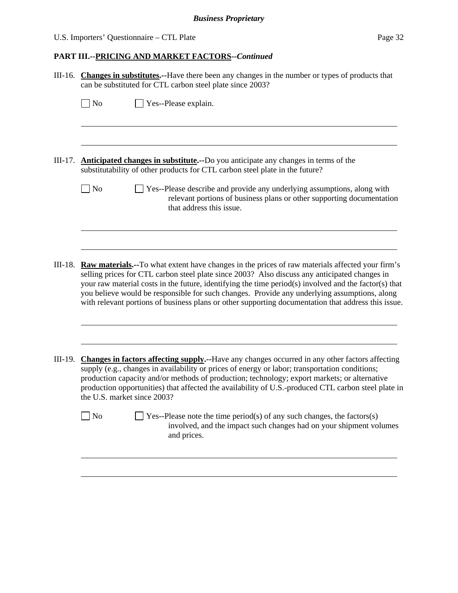# U.S. Importers' Questionnaire – CTL Plate Page 32

|           | III-16. Changes in substitutes.--Have there been any changes in the number or types of products that<br>can be substituted for CTL carbon steel plate since 2003?                                                                                                                                                                                                                                                                                                                                                        |
|-----------|--------------------------------------------------------------------------------------------------------------------------------------------------------------------------------------------------------------------------------------------------------------------------------------------------------------------------------------------------------------------------------------------------------------------------------------------------------------------------------------------------------------------------|
|           | Yes--Please explain.<br>$\Box$ No                                                                                                                                                                                                                                                                                                                                                                                                                                                                                        |
|           |                                                                                                                                                                                                                                                                                                                                                                                                                                                                                                                          |
| $III-17.$ | <b>Anticipated changes in substitute.</b> --Do you anticipate any changes in terms of the<br>substitutability of other products for CTL carbon steel plate in the future?                                                                                                                                                                                                                                                                                                                                                |
|           | $\Box$ No<br>Yes--Please describe and provide any underlying assumptions, along with<br>relevant portions of business plans or other supporting documentation<br>that address this issue.                                                                                                                                                                                                                                                                                                                                |
|           |                                                                                                                                                                                                                                                                                                                                                                                                                                                                                                                          |
| $III-18.$ | <b>Raw materials.</b> --To what extent have changes in the prices of raw materials affected your firm's<br>selling prices for CTL carbon steel plate since 2003? Also discuss any anticipated changes in<br>your raw material costs in the future, identifying the time period(s) involved and the factor(s) that<br>you believe would be responsible for such changes. Provide any underlying assumptions, along<br>with relevant portions of business plans or other supporting documentation that address this issue. |
|           |                                                                                                                                                                                                                                                                                                                                                                                                                                                                                                                          |
| III-19.   | <b>Changes in factors affecting supply.</b> --Have any changes occurred in any other factors affecting<br>supply (e.g., changes in availability or prices of energy or labor; transportation conditions;<br>production capacity and/or methods of production; technology; export markets; or alternative<br>production opportunities) that affected the availability of U.S.-produced CTL carbon steel plate in<br>the U.S. market since 2003?                                                                           |
|           | $\vert$ No<br>Yes--Please note the time period(s) of any such changes, the factors(s)<br>involved, and the impact such changes had on your shipment volumes<br>and prices.                                                                                                                                                                                                                                                                                                                                               |
|           |                                                                                                                                                                                                                                                                                                                                                                                                                                                                                                                          |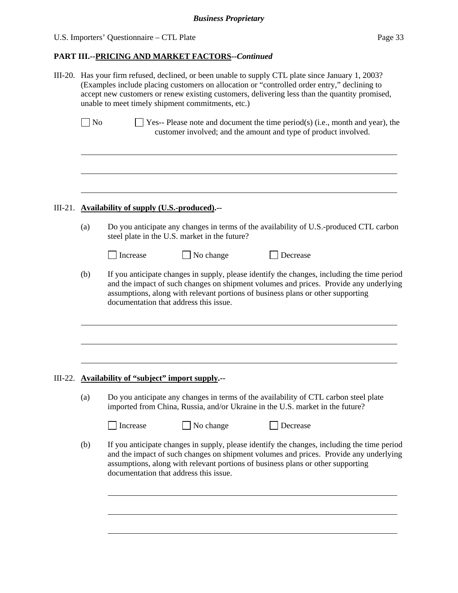|           | III-20. Has your firm refused, declined, or been unable to supply CTL plate since January 1, 2003?<br>(Examples include placing customers on allocation or "controlled order entry," declining to<br>accept new customers or renew existing customers, delivering less than the quantity promised,<br>unable to meet timely shipment commitments, etc.) |                                                                                                                                                                                                                                                                                                                   |                                            |                                                                                                                                                                       |  |  |  |
|-----------|---------------------------------------------------------------------------------------------------------------------------------------------------------------------------------------------------------------------------------------------------------------------------------------------------------------------------------------------------------|-------------------------------------------------------------------------------------------------------------------------------------------------------------------------------------------------------------------------------------------------------------------------------------------------------------------|--------------------------------------------|-----------------------------------------------------------------------------------------------------------------------------------------------------------------------|--|--|--|
|           | $\log$                                                                                                                                                                                                                                                                                                                                                  |                                                                                                                                                                                                                                                                                                                   |                                            | $\exists$ Yes-- Please note and document the time period(s) (i.e., month and year), the<br>customer involved; and the amount and type of product involved.            |  |  |  |
| $III-21.$ | <b>Availability of supply (U.S.-produced).--</b>                                                                                                                                                                                                                                                                                                        |                                                                                                                                                                                                                                                                                                                   |                                            |                                                                                                                                                                       |  |  |  |
|           | (a)                                                                                                                                                                                                                                                                                                                                                     | Do you anticipate any changes in terms of the availability of U.S.-produced CTL carbon<br>steel plate in the U.S. market in the future?                                                                                                                                                                           |                                            |                                                                                                                                                                       |  |  |  |
|           |                                                                                                                                                                                                                                                                                                                                                         | Increase                                                                                                                                                                                                                                                                                                          | No change                                  | Decrease                                                                                                                                                              |  |  |  |
|           | (b)                                                                                                                                                                                                                                                                                                                                                     | If you anticipate changes in supply, please identify the changes, including the time period<br>and the impact of such changes on shipment volumes and prices. Provide any underlying<br>assumptions, along with relevant portions of business plans or other supporting<br>documentation that address this issue. |                                            |                                                                                                                                                                       |  |  |  |
|           |                                                                                                                                                                                                                                                                                                                                                         |                                                                                                                                                                                                                                                                                                                   |                                            |                                                                                                                                                                       |  |  |  |
| III-22.   |                                                                                                                                                                                                                                                                                                                                                         |                                                                                                                                                                                                                                                                                                                   | Availability of "subject" import supply.-- |                                                                                                                                                                       |  |  |  |
|           | (a)                                                                                                                                                                                                                                                                                                                                                     |                                                                                                                                                                                                                                                                                                                   |                                            | Do you anticipate any changes in terms of the availability of CTL carbon steel plate<br>imported from China, Russia, and/or Ukraine in the U.S. market in the future? |  |  |  |
|           |                                                                                                                                                                                                                                                                                                                                                         | Increase                                                                                                                                                                                                                                                                                                          | No change                                  | Decrease                                                                                                                                                              |  |  |  |
|           | (b)                                                                                                                                                                                                                                                                                                                                                     | If you anticipate changes in supply, please identify the changes, including the time period<br>and the impact of such changes on shipment volumes and prices. Provide any underlying<br>assumptions, along with relevant portions of business plans or other supporting<br>documentation that address this issue. |                                            |                                                                                                                                                                       |  |  |  |
|           |                                                                                                                                                                                                                                                                                                                                                         |                                                                                                                                                                                                                                                                                                                   |                                            |                                                                                                                                                                       |  |  |  |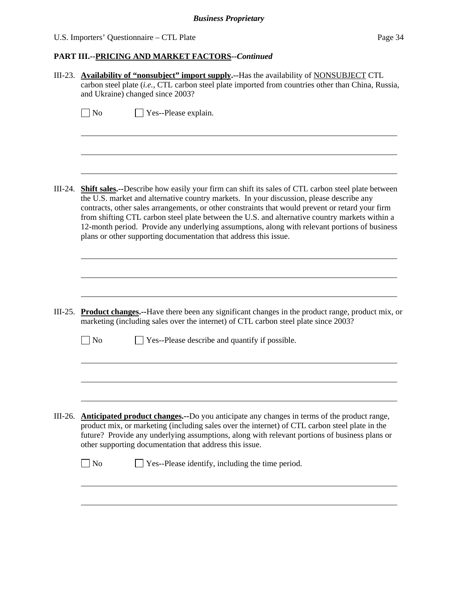# U.S. Importers' Questionnaire – CTL Plate Page 34

|           | III-23. Availability of "nonsubject" import supply.--Has the availability of NONSUBJECT CTL<br>carbon steel plate (i.e., CTL carbon steel plate imported from countries other than China, Russia,<br>and Ukraine) changed since 2003?                                                                                                                                                                                                                                                                                                                                                    |  |  |  |  |
|-----------|------------------------------------------------------------------------------------------------------------------------------------------------------------------------------------------------------------------------------------------------------------------------------------------------------------------------------------------------------------------------------------------------------------------------------------------------------------------------------------------------------------------------------------------------------------------------------------------|--|--|--|--|
|           | $\overline{N}$<br>Yes--Please explain.                                                                                                                                                                                                                                                                                                                                                                                                                                                                                                                                                   |  |  |  |  |
|           | III-24. <b>Shift sales.</b> --Describe how easily your firm can shift its sales of CTL carbon steel plate between<br>the U.S. market and alternative country markets. In your discussion, please describe any<br>contracts, other sales arrangements, or other constraints that would prevent or retard your firm<br>from shifting CTL carbon steel plate between the U.S. and alternative country markets within a<br>12-month period. Provide any underlying assumptions, along with relevant portions of business<br>plans or other supporting documentation that address this issue. |  |  |  |  |
|           | III-25. Product changes.--Have there been any significant changes in the product range, product mix, or<br>marketing (including sales over the internet) of CTL carbon steel plate since 2003?                                                                                                                                                                                                                                                                                                                                                                                           |  |  |  |  |
|           | $\Box$ No<br>Yes--Please describe and quantify if possible.                                                                                                                                                                                                                                                                                                                                                                                                                                                                                                                              |  |  |  |  |
| $III-26.$ | <b>Anticipated product changes.</b> --Do you anticipate any changes in terms of the product range,<br>product mix, or marketing (including sales over the internet) of CTL carbon steel plate in the<br>future? Provide any underlying assumptions, along with relevant portions of business plans or<br>other supporting documentation that address this issue.<br>Yes--Please identify, including the time period.<br>$\Box$ No                                                                                                                                                        |  |  |  |  |
|           |                                                                                                                                                                                                                                                                                                                                                                                                                                                                                                                                                                                          |  |  |  |  |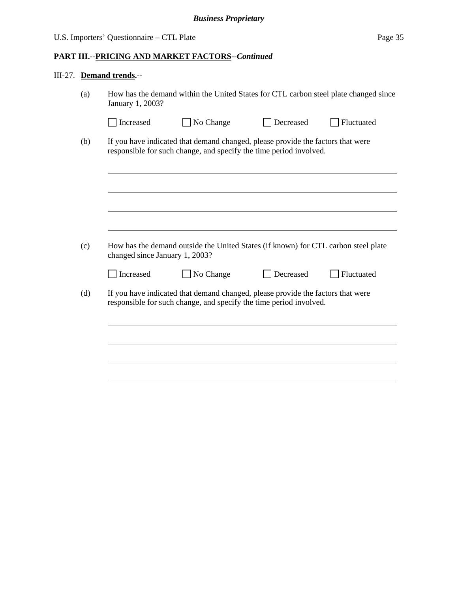# III-27. **Demand trends.--**

| How has the demand within the United States for CTL carbon steel plate changed since<br>January 1, 2003? |                                                                                                                                                       |           |            |  |
|----------------------------------------------------------------------------------------------------------|-------------------------------------------------------------------------------------------------------------------------------------------------------|-----------|------------|--|
| Increased                                                                                                | No Change                                                                                                                                             | Decreased | Fluctuated |  |
|                                                                                                          | If you have indicated that demand changed, please provide the factors that were<br>responsible for such change, and specify the time period involved. |           |            |  |
|                                                                                                          |                                                                                                                                                       |           |            |  |
|                                                                                                          |                                                                                                                                                       |           |            |  |
|                                                                                                          | How has the demand outside the United States (if known) for CTL carbon steel plate                                                                    |           |            |  |
| changed since January 1, 2003?<br>Increased                                                              | No Change                                                                                                                                             | Decreased | Fluctuated |  |
|                                                                                                          | If you have indicated that demand changed, please provide the factors that were<br>responsible for such change, and specify the time period involved. |           |            |  |
|                                                                                                          |                                                                                                                                                       |           |            |  |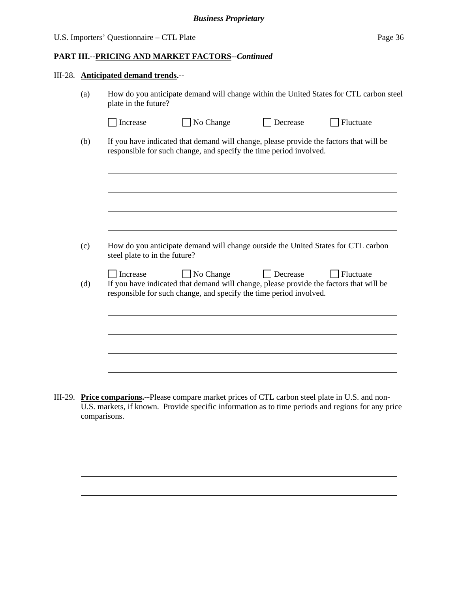|         |              | III-28. Anticipated demand trends.--                                                                                                                         |                                                                                                                                                                                                        |          |           |  |  |
|---------|--------------|--------------------------------------------------------------------------------------------------------------------------------------------------------------|--------------------------------------------------------------------------------------------------------------------------------------------------------------------------------------------------------|----------|-----------|--|--|
|         | (a)          | How do you anticipate demand will change within the United States for CTL carbon steel<br>plate in the future?                                               |                                                                                                                                                                                                        |          |           |  |  |
|         |              | Increase                                                                                                                                                     | No Change                                                                                                                                                                                              | Decrease | Fluctuate |  |  |
|         | (b)          | If you have indicated that demand will change, please provide the factors that will be<br>responsible for such change, and specify the time period involved. |                                                                                                                                                                                                        |          |           |  |  |
|         |              |                                                                                                                                                              |                                                                                                                                                                                                        |          |           |  |  |
|         |              |                                                                                                                                                              |                                                                                                                                                                                                        |          |           |  |  |
|         | (c)          | steel plate to in the future?                                                                                                                                | How do you anticipate demand will change outside the United States for CTL carbon                                                                                                                      |          |           |  |  |
|         | (d)          | Increase                                                                                                                                                     | No Change<br>If you have indicated that demand will change, please provide the factors that will be<br>responsible for such change, and specify the time period involved.                              | Decrease | Fluctuate |  |  |
|         |              |                                                                                                                                                              |                                                                                                                                                                                                        |          |           |  |  |
|         |              |                                                                                                                                                              |                                                                                                                                                                                                        |          |           |  |  |
|         |              |                                                                                                                                                              |                                                                                                                                                                                                        |          |           |  |  |
| III-29. | comparisons. |                                                                                                                                                              | <b>Price comparions.--Please compare market prices of CTL carbon steel plate in U.S. and non-</b><br>U.S. markets, if known. Provide specific information as to time periods and regions for any price |          |           |  |  |

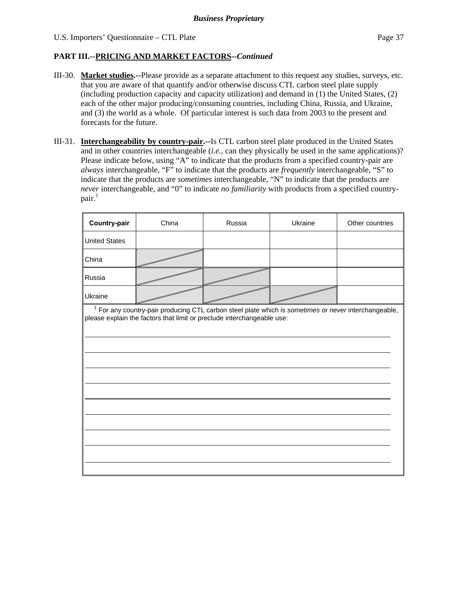- III-30. **Market studies.--**Please provide as a separate attachment to this request any studies, surveys, etc. that you are aware of that quantify and/or otherwise discuss CTL carbon steel plate supply (including production capacity and capacity utilization) and demand in (1) the United States, (2) each of the other major producing/consuming countries, including China, Russia, and Ukraine, and (3) the world as a whole. Of particular interest is such data from 2003 to the present and forecasts for the future.
- III-31. **Interchangeability by country-pair.--**Is CTL carbon steel plate produced in the United States and in other countries interchangeable (*i.e.*, can they physically be used in the same applications)? Please indicate below, using "A" to indicate that the products from a specified country-pair are *always* interchangeable, "F" to indicate that the products are *frequently* interchangeable, "S" to indicate that the products are *sometimes* interchangeable, "N" to indicate that the products are *never* interchangeable, and "0" to indicate *no familiarity* with products from a specified country $pair.<sup>1</sup>$

| Country-pair         | China                                                                                                                                                                                     | Russia | Ukraine | Other countries |
|----------------------|-------------------------------------------------------------------------------------------------------------------------------------------------------------------------------------------|--------|---------|-----------------|
| <b>United States</b> |                                                                                                                                                                                           |        |         |                 |
| China                |                                                                                                                                                                                           |        |         |                 |
| Russia               |                                                                                                                                                                                           |        |         |                 |
| Ukraine              |                                                                                                                                                                                           |        |         |                 |
|                      | <sup>1</sup> For any country-pair producing CTL carbon steel plate which is sometimes or never interchangeable,<br>please explain the factors that limit or preclude interchangeable use: |        |         |                 |